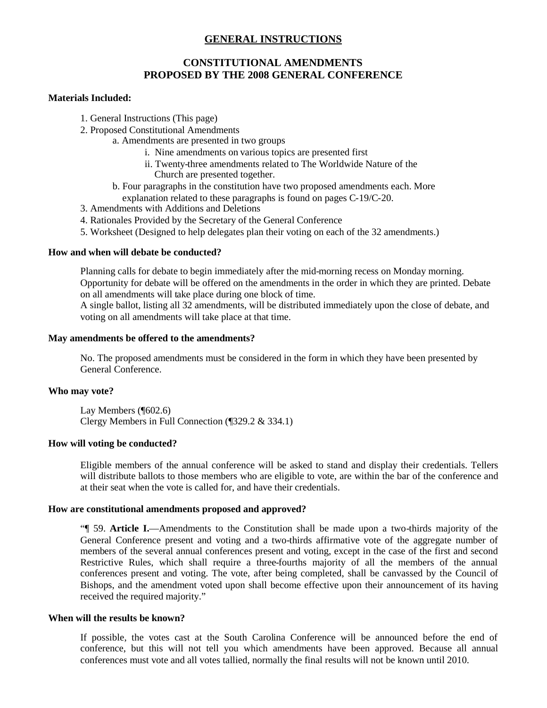# **GENERAL INSTRUCTIONS**

### **CONSTITUTIONAL AMENDMENTS PROPOSED BY THE 2008 GENERAL CONFERENCE**

#### **Materials Included:**

- 1. General Instructions (This page)
- 2. Proposed Constitutional Amendments
	- a. Amendments are presented in two groups
		- i. Nine amendments on various topics are presented first
		- ii. Twenty-three amendments related to The Worldwide Nature of the Church are presented together.
	- b. Four paragraphs in the constitution have two proposed amendments each. More explanation related to these paragraphs is found on pages C-19/C-20.
- 3. Amendments with Additions and Deletions
- 4. Rationales Provided by the Secretary of the General Conference
- 5. Worksheet (Designed to help delegates plan their voting on each of the 32 amendments.)

#### **How and when will debate be conducted?**

Planning calls for debate to begin immediately after the mid-morning recess on Monday morning. Opportunity for debate will be offered on the amendments in the order in which they are printed. Debate on all amendments will take place during one block of time.

A single ballot, listing all 32 amendments, will be distributed immediately upon the close of debate, and voting on all amendments will take place at that time.

#### **May amendments be offered to the amendments?**

No. The proposed amendments must be considered in the form in which they have been presented by General Conference.

#### **Who may vote?**

Lay Members (¶602.6) Clergy Members in Full Connection (¶329.2 & 334.1)

#### **How will voting be conducted?**

Eligible members of the annual conference will be asked to stand and display their credentials. Tellers will distribute ballots to those members who are eligible to vote, are within the bar of the conference and at their seat when the vote is called for, and have their credentials.

#### **How are constitutional amendments proposed and approved?**

"¶ 59. **Article I.**—Amendments to the Constitution shall be made upon a two-thirds majority of the General Conference present and voting and a two-thirds affirmative vote of the aggregate number of members of the several annual conferences present and voting, except in the case of the first and second Restrictive Rules, which shall require a three-fourths majority of all the members of the annual conferences present and voting. The vote, after being completed, shall be canvassed by the Council of Bishops, and the amendment voted upon shall become effective upon their announcement of its having received the required majority."

#### **When will the results be known?**

If possible, the votes cast at the South Carolina Conference will be announced before the end of conference, but this will not tell you which amendments have been approved. Because all annual conferences must vote and all votes tallied, normally the final results will not be known until 2010.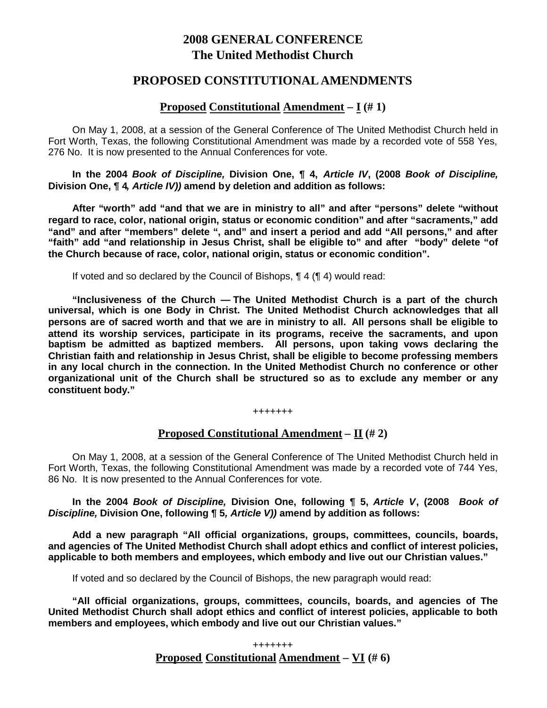# **2008 GENERAL CONFERENCE The United Methodist Church**

# **PROPOSED CONSTITUTIONAL AMENDMENTS**

# **Proposed Constitutional Amendment – I (# 1)**

On May 1, 2008, at a session of the General Conference of The United Methodist Church held in Fort Worth, Texas, the following Constitutional Amendment was made by a recorded vote of 558 Yes, 276 No. It is now presented to the Annual Conferences for vote.

**In the 2004** *Book of Discipline,* **Division One, ¶ 4,** *Article IV***, (2008** *Book of Discipline,* **Division One, ¶ 4***, Article IV))* **amend by deletion and addition as follows:**

**After "worth" add "and that we are in ministry to all" and after "persons" delete "without regard to race, color, national origin, status or economic condition" and after "sacraments," add "and" and after "members" delete ", and" and insert a period and add "All persons," and after "faith" add "and relationship in Jesus Christ, shall be eligible to" and after "body" delete "of the Church because of race, color, national origin, status or economic condition".**

If voted and so declared by the Council of Bishops, ¶ 4 (¶ 4) would read:

**"Inclusiveness of the Church — The United Methodist Church is a part of the church universal, which is one Body in Christ. The United Methodist Church acknowledges that all persons are of sacred worth and that we are in ministry to all. All persons shall be eligible to attend its worship services, participate in its programs, receive the sacraments, and upon baptism be admitted as baptized members. All persons, upon taking vows declaring the Christian faith and relationship in Jesus Christ, shall be eligible to become professing members in any local church in the connection. In the United Methodist Church no conference or other organizational unit of the Church shall be structured so as to exclude any member or any constituent body."**

#### +++++++

# **Proposed Constitutional Amendment – II (# 2)**

On May 1, 2008, at a session of the General Conference of The United Methodist Church held in Fort Worth, Texas, the following Constitutional Amendment was made by a recorded vote of 744 Yes, 86 No. It is now presented to the Annual Conferences for vote.

**In the 2004** *Book of Discipline,* **Division One, following ¶ 5,** *Article V***, (2008** *Book of Discipline,* **Division One, following ¶ 5***, Article V))* **amend by addition as follows:**

**Add a new paragraph "All official organizations, groups, committees, councils, boards, and agencies of The United Methodist Church shall adopt ethics and conflict of interest policies, applicable to both members and employees, which embody and live out our Christian values."**

If voted and so declared by the Council of Bishops, the new paragraph would read:

**"All official organizations, groups, committees, councils, boards, and agencies of The United Methodist Church shall adopt ethics and conflict of interest policies, applicable to both members and employees, which embody and live out our Christian values."**

> +++++++ **Proposed Constitutional Amendment – VI (# 6)**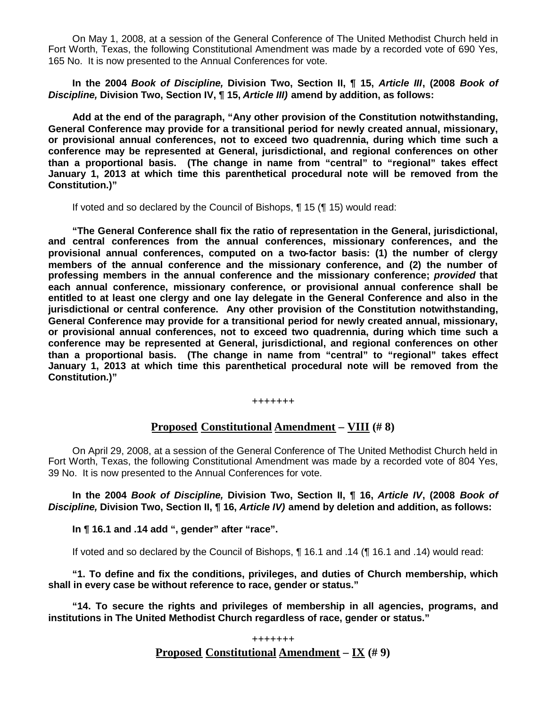On May 1, 2008, at a session of the General Conference of The United Methodist Church held in Fort Worth, Texas, the following Constitutional Amendment was made by a recorded vote of 690 Yes, 165 No. It is now presented to the Annual Conferences for vote.

**In the 2004** *Book of Discipline,* **Division Two, Section II, ¶ 15,** *Article III***, (2008** *Book of Discipline,* **Division Two, Section IV, ¶ 15,** *Article III)* **amend by addition, as follows:**

**Add at the end of the paragraph, "Any other provision of the Constitution notwithstanding, General Conference may provide for a transitional period for newly created annual, missionary, or provisional annual conferences, not to exceed two quadrennia, during which time such a conference may be represented at General, jurisdictional, and regional conferences on other than a proportional basis. (The change in name from "central" to "regional" takes effect January 1, 2013 at which time this parenthetical procedural note will be removed from the Constitution.)"**

If voted and so declared by the Council of Bishops, ¶ 15 (¶ 15) would read:

**"The General Conference shall fix the ratio of representation in the General, jurisdictional, and central conferences from the annual conferences, missionary conferences, and the provisional annual conferences, computed on a two-factor basis: (1) the number of clergy members of the annual conference and the missionary conference, and (2) the number of professing members in the annual conference and the missionary conference;** *provided* **that each annual conference, missionary conference, or provisional annual conference shall be entitled to at least one clergy and one lay delegate in the General Conference and also in the jurisdictional or central conference. Any other provision of the Constitution notwithstanding, General Conference may provide for a transitional period for newly created annual, missionary, or provisional annual conferences, not to exceed two quadrennia, during which time such a conference may be represented at General, jurisdictional, and regional conferences on other than a proportional basis. (The change in name from "central" to "regional" takes effect January 1, 2013 at which time this parenthetical procedural note will be removed from the Constitution.)"**

**+++++++**

# **Proposed Constitutional Amendment – VIII (# 8)**

On April 29, 2008, at a session of the General Conference of The United Methodist Church held in Fort Worth, Texas, the following Constitutional Amendment was made by a recorded vote of 804 Yes, 39 No. It is now presented to the Annual Conferences for vote.

**In the 2004** *Book of Discipline,* **Division Two, Section II, ¶ 16,** *Article IV***, (2008** *Book of Discipline,* **Division Two, Section II, ¶ 16,** *Article IV)* **amend by deletion and addition, as follows:**

**In ¶ 16.1 and .14 add ", gender" after "race".**

If voted and so declared by the Council of Bishops, ¶ 16.1 and .14 (¶ 16.1 and .14) would read:

**"1. To define and fix the conditions, privileges, and duties of Church membership, which shall in every case be without reference to race, gender or status."**

**"14. To secure the rights and privileges of membership in all agencies, programs, and institutions in The United Methodist Church regardless of race, gender or status."**

> **+++++++ Proposed Constitutional Amendment – IX (# 9)**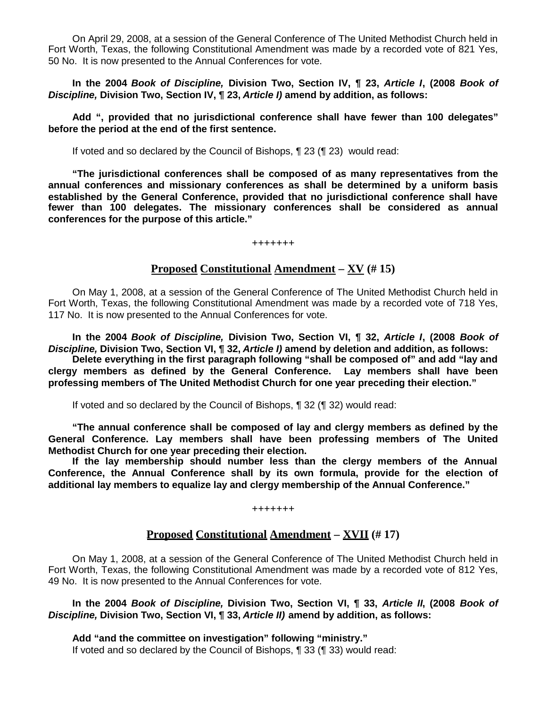On April 29, 2008, at a session of the General Conference of The United Methodist Church held in Fort Worth, Texas, the following Constitutional Amendment was made by a recorded vote of 821 Yes, 50 No. It is now presented to the Annual Conferences for vote.

**In the 2004** *Book of Discipline,* **Division Two, Section IV, ¶ 23,** *Article I***, (2008** *Book of Discipline,* **Division Two, Section IV, ¶ 23,** *Article I)* **amend by addition, as follows:**

**Add ", provided that no jurisdictional conference shall have fewer than 100 delegates" before the period at the end of the first sentence.**

If voted and so declared by the Council of Bishops, ¶ 23 (¶ 23) would read:

**"The jurisdictional conferences shall be composed of as many representatives from the annual conferences and missionary conferences as shall be determined by a uniform basis established by the General Conference, provided that no jurisdictional conference shall have fewer than 100 delegates. The missionary conferences shall be considered as annual conferences for the purpose of this article."**

**+++++++**

# **Proposed Constitutional Amendment – XV (# 15)**

On May 1, 2008, at a session of the General Conference of The United Methodist Church held in Fort Worth, Texas, the following Constitutional Amendment was made by a recorded vote of 718 Yes, 117 No. It is now presented to the Annual Conferences for vote.

**In the 2004** *Book of Discipline,* **Division Two, Section VI, ¶ 32,** *Article I***, (2008** *Book of Discipline,* **Division Two, Section VI, ¶ 32,** *Article I)* **amend by deletion and addition, as follows:**

**Delete everything in the first paragraph following "shall be composed of" and add "lay and clergy members as defined by the General Conference. Lay members shall have been professing members of The United Methodist Church for one year preceding their election."**

If voted and so declared by the Council of Bishops, ¶ 32 (¶ 32) would read:

**"The annual conference shall be composed of lay and clergy members as defined by the General Conference. Lay members shall have been professing members of The United Methodist Church for one year preceding their election.**

**If the lay membership should number less than the clergy members of the Annual Conference, the Annual Conference shall by its own formula, provide for the election of additional lay members to equalize lay and clergy membership of the Annual Conference."**

**+++++++**

# **Proposed Constitutional Amendment – XVII (# 17)**

On May 1, 2008, at a session of the General Conference of The United Methodist Church held in Fort Worth, Texas, the following Constitutional Amendment was made by a recorded vote of 812 Yes, 49 No. It is now presented to the Annual Conferences for vote.

**In the 2004** *Book of Discipline,* **Division Two, Section VI, ¶ 33,** *Article II***, (2008** *Book of Discipline,* **Division Two, Section VI, ¶ 33,** *Article II)* **amend by addition, as follows:**

**Add "and the committee on investigation" following "ministry."** If voted and so declared by the Council of Bishops, ¶ 33 (¶ 33) would read: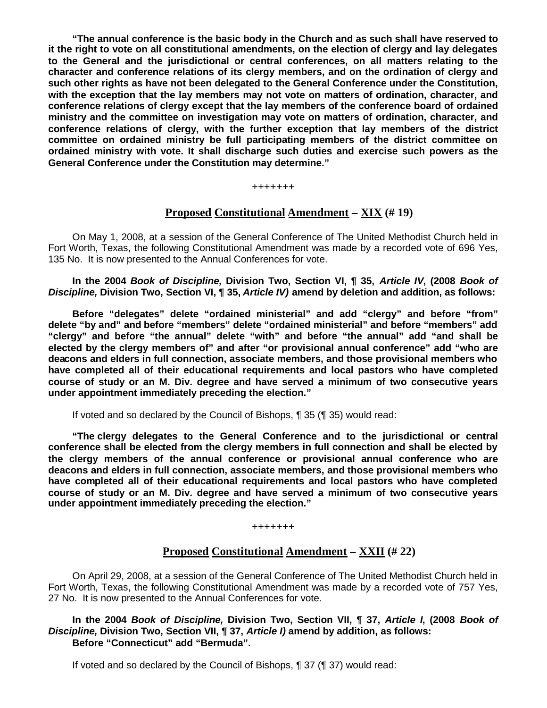**"The annual conference is the basic body in the Church and as such shall have reserved to it the right to vote on all constitutional amendments, on the election of clergy and lay delegates to the General and the jurisdictional or central conferences, on all matters relating to the character and conference relations of its clergy members, and on the ordination of clergy and such other rights as have not been delegated to the General Conference under the Constitution, with the exception that the lay members may not vote on matters of ordination, character, and conference relations of clergy except that the lay members of the conference board of ordained ministry and the committee on investigation may vote on matters of ordination, character, and conference relations of clergy, with the further exception that lay members of the district committee on ordained ministry be full participating members of the district committee on ordained ministry with vote. It shall discharge such duties and exercise such powers as the General Conference under the Constitution may determine."**

#### **+++++++**

### **Proposed Constitutional Amendment – XIX (# 19)**

On May 1, 2008, at a session of the General Conference of The United Methodist Church held in Fort Worth, Texas, the following Constitutional Amendment was made by a recorded vote of 696 Yes, 135 No. It is now presented to the Annual Conferences for vote.

**In the 2004** *Book of Discipline,* **Division Two, Section VI, ¶ 35,** *Article IV***, (2008** *Book of Discipline,* **Division Two, Section VI, ¶ 35,** *Article IV)* **amend by deletion and addition, as follows:**

**Before "delegates" delete "ordained ministerial" and add "clergy" and before "from" delete "by and" and before "members" delete "ordained ministerial" and before "members" add "clergy" and before "the annual" delete "with" and before "the annual" add "and shall be elected by the clergy members of" and after "or provisional annual conference" add "who are deacons and elders in full connection, associate members, and those provisional members who have completed all of their educational requirements and local pastors who have completed course of study or an M. Div. degree and have served a minimum of two consecutive years under appointment immediately preceding the election."**

If voted and so declared by the Council of Bishops, ¶ 35 (¶ 35) would read:

**"The clergy delegates to the General Conference and to the jurisdictional or central conference shall be elected from the clergy members in full connection and shall be elected by the clergy members of the annual conference or provisional annual conference who are deacons and elders in full connection, associate members, and those provisional members who have completed all of their educational requirements and local pastors who have completed course of study or an M. Div. degree and have served a minimum of two consecutive years under appointment immediately preceding the election."**

**+++++++**

### **Proposed Constitutional Amendment – XXII (# 22)**

On April 29, 2008, at a session of the General Conference of The United Methodist Church held in Fort Worth, Texas, the following Constitutional Amendment was made by a recorded vote of 757 Yes, 27 No. It is now presented to the Annual Conferences for vote.

**In the 2004** *Book of Discipline,* **Division Two, Section VII, ¶ 37,** *Article I***, (2008** *Book of Discipline,* **Division Two, Section VII, ¶ 37,** *Article I)* **amend by addition, as follows: Before "Connecticut" add "Bermuda".**

If voted and so declared by the Council of Bishops, ¶ 37 (¶ 37) would read: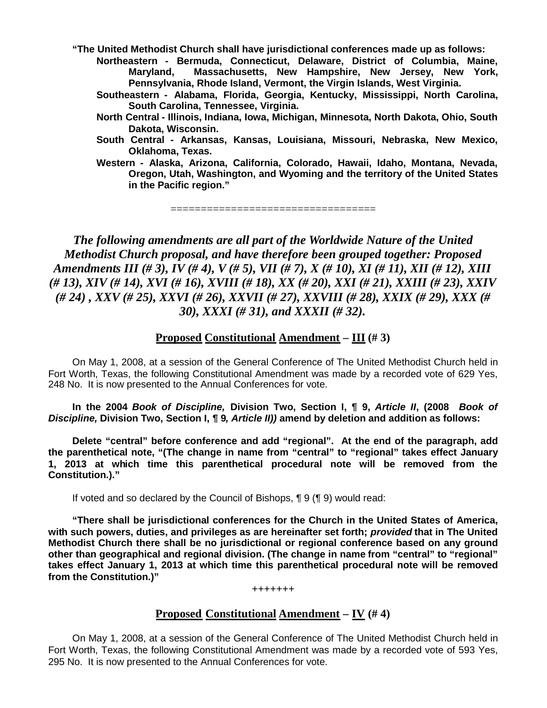**"The United Methodist Church shall have jurisdictional conferences made up as follows:**

**Northeastern - Bermuda, Connecticut, Delaware, District of Columbia, Maine, Maryland, Massachusetts, New Hampshire, New Jersey, New York, Pennsylvania, Rhode Island, Vermont, the Virgin Islands, West Virginia.**

- **Southeastern - Alabama, Florida, Georgia, Kentucky, Mississippi, North Carolina, South Carolina, Tennessee, Virginia.**
- **North Central - Illinois, Indiana, Iowa, Michigan, Minnesota, North Dakota, Ohio, South Dakota, Wisconsin.**
- **South Central - Arkansas, Kansas, Louisiana, Missouri, Nebraska, New Mexico, Oklahoma, Texas.**
- **Western - Alaska, Arizona, California, Colorado, Hawaii, Idaho, Montana, Nevada, Oregon, Utah, Washington, and Wyoming and the territory of the United States in the Pacific region."**

==================================

*The following amendments are all part of the Worldwide Nature of the United Methodist Church proposal, and have therefore been grouped together: Proposed Amendments III (# 3), IV (# 4), V (# 5), VII (# 7), X (# 10), XI (# 11), XII (# 12), XIII (# 13), XIV (# 14), XVI (# 16), XVIII (# 18), XX (# 20), XXI (# 21), XXIII (# 23), XXIV (# 24) , XXV (# 25), XXVI (# 26), XXVII (# 27), XXVIII (# 28), XXIX (# 29), XXX (# 30), XXXI (# 31), and XXXII (# 32).*

# **Proposed Constitutional Amendment – III (# 3)**

On May 1, 2008, at a session of the General Conference of The United Methodist Church held in Fort Worth, Texas, the following Constitutional Amendment was made by a recorded vote of 629 Yes, 248 No. It is now presented to the Annual Conferences for vote.

**In the 2004** *Book of Discipline,* **Division Two, Section I, ¶ 9,** *Article II***, (2008** *Book of Discipline,* **Division Two, Section I, ¶ 9***, Article II))* **amend by deletion and addition as follows:**

**Delete "central" before conference and add "regional". At the end of the paragraph, add the parenthetical note, "(The change in name from "central" to "regional" takes effect January 1, 2013 at which time this parenthetical procedural note will be removed from the Constitution.)."**

If voted and so declared by the Council of Bishops, ¶ 9 (¶ 9) would read:

**"There shall be jurisdictional conferences for the Church in the United States of America, with such powers, duties, and privileges as are hereinafter set forth;** *provided* **that in The United Methodist Church there shall be no jurisdictional or regional conference based on any ground other than geographical and regional division. (The change in name from "central" to "regional" takes effect January 1, 2013 at which time this parenthetical procedural note will be removed from the Constitution.)"**

**+++++++**

# **Proposed Constitutional Amendment – IV (# 4)**

On May 1, 2008, at a session of the General Conference of The United Methodist Church held in Fort Worth, Texas, the following Constitutional Amendment was made by a recorded vote of 593 Yes, 295 No. It is now presented to the Annual Conferences for vote.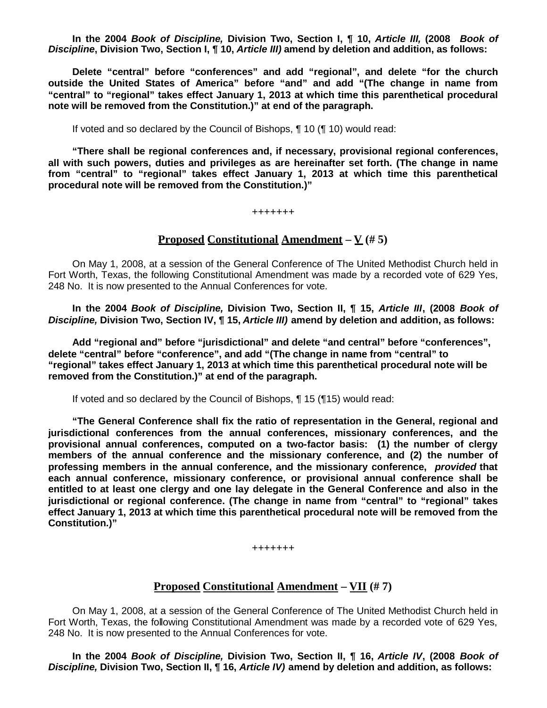**In the 2004** *Book of Discipline,* **Division Two, Section I, ¶ 10,** *Article III,* **(2008** *Book of Discipline***, Division Two, Section I, ¶ 10,** *Article III)* **amend by deletion and addition, as follows:**

**Delete "central" before "conferences" and add "regional", and delete "for the church outside the United States of America" before "and" and add "(The change in name from "central" to "regional" takes effect January 1, 2013 at which time this parenthetical procedural note will be removed from the Constitution.)" at end of the paragraph.**

If voted and so declared by the Council of Bishops, ¶ 10 (¶ 10) would read:

**"There shall be regional conferences and, if necessary, provisional regional conferences, all with such powers, duties and privileges as are hereinafter set forth. (The change in name from "central" to "regional" takes effect January 1, 2013 at which time this parenthetical procedural note will be removed from the Constitution.)"**

**+++++++**

### **Proposed Constitutional Amendment**  $-\mathbf{V}$  (#5)

On May 1, 2008, at a session of the General Conference of The United Methodist Church held in Fort Worth, Texas, the following Constitutional Amendment was made by a recorded vote of 629 Yes, 248 No. It is now presented to the Annual Conferences for vote.

**In the 2004** *Book of Discipline,* **Division Two, Section II, ¶ 15,** *Article III***, (2008** *Book of Discipline,* **Division Two, Section IV, ¶ 15,** *Article III)* **amend by deletion and addition, as follows:**

**Add "regional and" before "jurisdictional" and delete "and central" before "conferences", delete "central" before "conference", and add "(The change in name from "central" to "regional" takes effect January 1, 2013 at which time this parenthetical procedural note will be removed from the Constitution.)" at end of the paragraph.**

If voted and so declared by the Council of Bishops, ¶ 15 (¶15) would read:

**"The General Conference shall fix the ratio of representation in the General, regional and jurisdictional conferences from the annual conferences, missionary conferences, and the provisional annual conferences, computed on a two-factor basis: (1) the number of clergy members of the annual conference and the missionary conference, and (2) the number of professing members in the annual conference, and the missionary conference,** *provided* **that each annual conference, missionary conference, or provisional annual conference shall be entitled to at least one clergy and one lay delegate in the General Conference and also in the jurisdictional or regional conference. (The change in name from "central" to "regional" takes effect January 1, 2013 at which time this parenthetical procedural note will be removed from the Constitution.)"**

**+++++++**

# **Proposed Constitutional Amendment – VII (# 7)**

On May 1, 2008, at a session of the General Conference of The United Methodist Church held in Fort Worth, Texas, the following Constitutional Amendment was made by a recorded vote of 629 Yes, 248 No. It is now presented to the Annual Conferences for vote.

**In the 2004** *Book of Discipline,* **Division Two, Section II, ¶ 16,** *Article IV***, (2008** *Book of Discipline,* **Division Two, Section II, ¶ 16,** *Article IV)* **amend by deletion and addition, as follows:**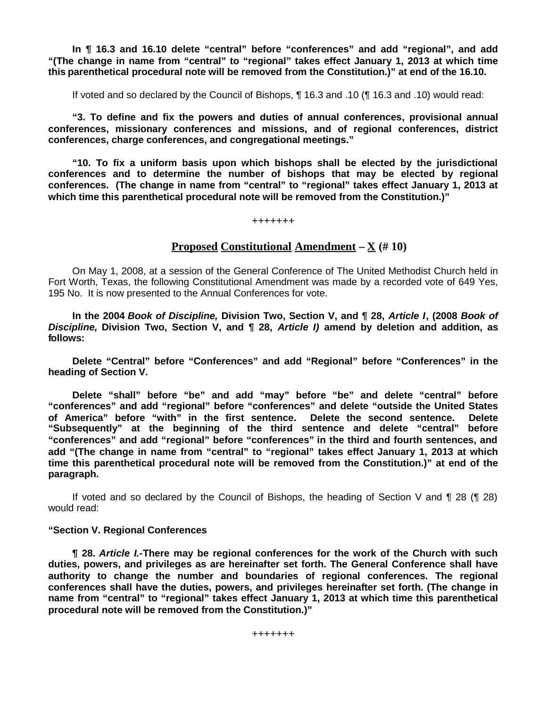**In ¶ 16.3 and 16.10 delete "central" before "conferences" and add "regional", and add "(The change in name from "central" to "regional" takes effect January 1, 2013 at which time this parenthetical procedural note will be removed from the Constitution.)" at end of the 16.10.**

If voted and so declared by the Council of Bishops, ¶ 16.3 and .10 (¶ 16.3 and .10) would read:

**"3. To define and fix the powers and duties of annual conferences, provisional annual conferences, missionary conferences and missions, and of regional conferences, district conferences, charge conferences, and congregational meetings."**

**"10. To fix a uniform basis upon which bishops shall be elected by the jurisdictional conferences and to determine the number of bishops that may be elected by regional conferences. (The change in name from "central" to "regional" takes effect January 1, 2013 at which time this parenthetical procedural note will be removed from the Constitution.)"**

**+++++++**

# **Proposed Constitutional Amendment – X (# 10)**

On May 1, 2008, at a session of the General Conference of The United Methodist Church held in Fort Worth, Texas, the following Constitutional Amendment was made by a recorded vote of 649 Yes, 195 No. It is now presented to the Annual Conferences for vote.

**In the 2004** *Book of Discipline,* **Division Two, Section V, and ¶ 28,** *Article I***, (2008** *Book of Discipline,* **Division Two, Section V, and ¶ 28,** *Article I)* **amend by deletion and addition, as follows:**

**Delete "Central" before "Conferences" and add "Regional" before "Conferences" in the heading of Section V.**

**Delete "shall" before "be" and add "may" before "be" and delete "central" before "conferences" and add "regional" before "conferences" and delete "outside the United States of America" before "with" in the first sentence. Delete the second sentence. Delete "Subsequently" at the beginning of the third sentence and delete "central" before "conferences" and add "regional" before "conferences" in the third and fourth sentences, and add "(The change in name from "central" to "regional" takes effect January 1, 2013 at which time this parenthetical procedural note will be removed from the Constitution.)" at end of the paragraph.**

If voted and so declared by the Council of Bishops, the heading of Section V and  $\P$  28 ( $\P$  28) would read:

#### **"Section V. Regional Conferences**

**¶ 28.** *Article I.***-There may be regional conferences for the work of the Church with such duties, powers, and privileges as are hereinafter set forth. The General Conference shall have authority to change the number and boundaries of regional conferences. The regional conferences shall have the duties, powers, and privileges hereinafter set forth. (The change in name from "central" to "regional" takes effect January 1, 2013 at which time this parenthetical procedural note will be removed from the Constitution.)"**

**+++++++**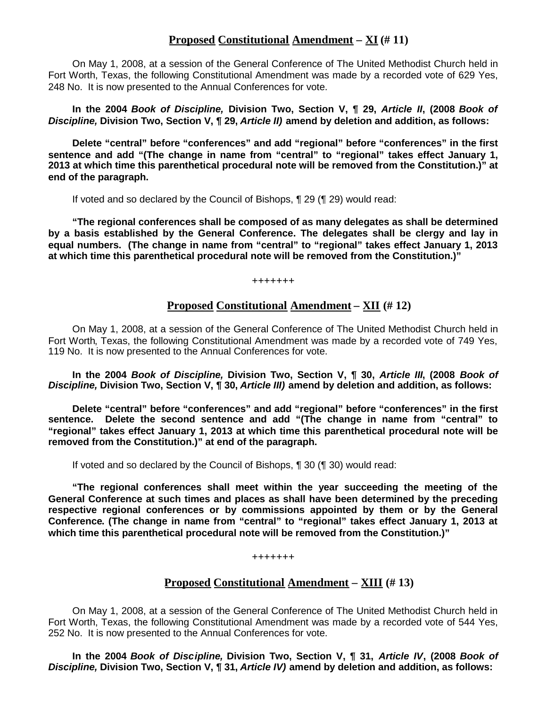# **Proposed Constitutional Amendment – XI (# 11)**

On May 1, 2008, at a session of the General Conference of The United Methodist Church held in Fort Worth, Texas, the following Constitutional Amendment was made by a recorded vote of 629 Yes, 248 No. It is now presented to the Annual Conferences for vote.

**In the 2004** *Book of Discipline,* **Division Two, Section V, ¶ 29,** *Article II***, (2008** *Book of Discipline,* **Division Two, Section V, ¶ 29,** *Article II)* **amend by deletion and addition, as follows:**

**Delete "central" before "conferences" and add "regional" before "conferences" in the first sentence and add "(The change in name from "central" to "regional" takes effect January 1, 2013 at which time this parenthetical procedural note will be removed from the Constitution.)" at end of the paragraph.**

If voted and so declared by the Council of Bishops, ¶ 29 (¶ 29) would read:

**"The regional conferences shall be composed of as many delegates as shall be determined by a basis established by the General Conference. The delegates shall be clergy and lay in equal numbers. (The change in name from "central" to "regional" takes effect January 1, 2013 at which time this parenthetical procedural note will be removed from the Constitution.)"**

**+++++++**

# **Proposed Constitutional Amendment – XII (# 12)**

On May 1, 2008, at a session of the General Conference of The United Methodist Church held in Fort Worth, Texas, the following Constitutional Amendment was made by a recorded vote of 749 Yes, 119 No. It is now presented to the Annual Conferences for vote.

**In the 2004** *Book of Discipline,* **Division Two, Section V, ¶ 30,** *Article III***, (2008** *Book of Discipline,* **Division Two, Section V, ¶ 30,** *Article III)* **amend by deletion and addition, as follows:**

**Delete "central" before "conferences" and add "regional" before "conferences" in the first sentence. Delete the second sentence and add "(The change in name from "central" to "regional" takes effect January 1, 2013 at which time this parenthetical procedural note will be removed from the Constitution.)" at end of the paragraph.**

If voted and so declared by the Council of Bishops, ¶ 30 (¶ 30) would read:

**"The regional conferences shall meet within the year succeeding the meeting of the General Conference at such times and places as shall have been determined by the preceding respective regional conferences or by commissions appointed by them or by the General Conference. (The change in name from "central" to "regional" takes effect January 1, 2013 at which time this parenthetical procedural note will be removed from the Constitution.)"**

**+++++++**

# **Proposed Constitutional Amendment – XIII (# 13)**

On May 1, 2008, at a session of the General Conference of The United Methodist Church held in Fort Worth, Texas, the following Constitutional Amendment was made by a recorded vote of 544 Yes, 252 No. It is now presented to the Annual Conferences for vote.

**In the 2004** *Book of Discipline,* **Division Two, Section V, ¶ 31,** *Article IV***, (2008** *Book of Discipline,* **Division Two, Section V, ¶ 31,** *Article IV)* **amend by deletion and addition, as follows:**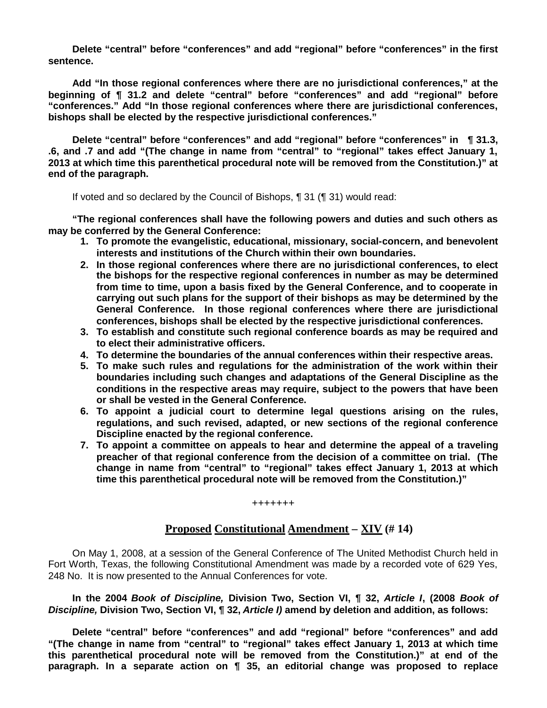**Delete "central" before "conferences" and add "regional" before "conferences" in the first sentence.**

**Add "In those regional conferences where there are no jurisdictional conferences," at the beginning of ¶ 31.2 and delete "central" before "conferences" and add "regional" before "conferences." Add "In those regional conferences where there are jurisdictional conferences, bishops shall be elected by the respective jurisdictional conferences."**

**Delete "central" before "conferences" and add "regional" before "conferences" in ¶ 31.3, .6, and .7 and add "(The change in name from "central" to "regional" takes effect January 1, 2013 at which time this parenthetical procedural note will be removed from the Constitution.)" at end of the paragraph.**

If voted and so declared by the Council of Bishops, ¶ 31 (¶ 31) would read:

**"The regional conferences shall have the following powers and duties and such others as may be conferred by the General Conference:**

- **1. To promote the evangelistic, educational, missionary, social-concern, and benevolent interests and institutions of the Church within their own boundaries.**
- **2. In those regional conferences where there are no jurisdictional conferences, to elect the bishops for the respective regional conferences in number as may be determined from time to time, upon a basis fixed by the General Conference, and to cooperate in carrying out such plans for the support of their bishops as may be determined by the General Conference. In those regional conferences where there are jurisdictional conferences, bishops shall be elected by the respective jurisdictional conferences.**
- **3. To establish and constitute such regional conference boards as may be required and to elect their administrative officers.**
- **4. To determine the boundaries of the annual conferences within their respective areas.**
- **5. To make such rules and regulations for the administration of the work within their boundaries including such changes and adaptations of the General Discipline as the conditions in the respective areas may require, subject to the powers that have been or shall be vested in the General Conference.**
- **6. To appoint a judicial court to determine legal questions arising on the rules, regulations, and such revised, adapted, or new sections of the regional conference Discipline enacted by the regional conference.**
- **7. To appoint a committee on appeals to hear and determine the appeal of a traveling preacher of that regional conference from the decision of a committee on trial. (The change in name from "central" to "regional" takes effect January 1, 2013 at which time this parenthetical procedural note will be removed from the Constitution.)"**

#### **+++++++**

# **Proposed Constitutional Amendment – XIV (# 14)**

On May 1, 2008, at a session of the General Conference of The United Methodist Church held in Fort Worth, Texas, the following Constitutional Amendment was made by a recorded vote of 629 Yes, 248 No. It is now presented to the Annual Conferences for vote.

**In the 2004** *Book of Discipline,* **Division Two, Section VI, ¶ 32,** *Article I***, (2008** *Book of Discipline,* **Division Two, Section VI, ¶ 32,** *Article I)* **amend by deletion and addition, as follows:**

**Delete "central" before "conferences" and add "regional" before "conferences" and add "(The change in name from "central" to "regional" takes effect January 1, 2013 at which time this parenthetical procedural note will be removed from the Constitution.)" at end of the paragraph. In a separate action on ¶ 35, an editorial change was proposed to replace**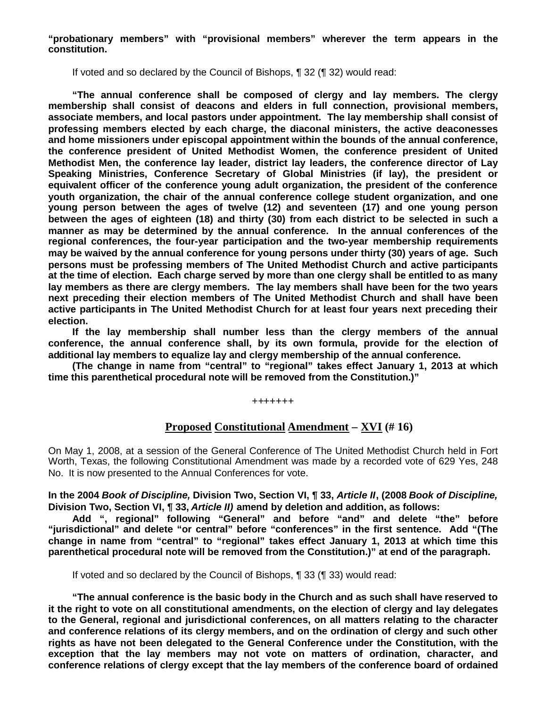**"probationary members" with "provisional members" wherever the term appears in the constitution.**

If voted and so declared by the Council of Bishops, ¶ 32 (¶ 32) would read:

**"The annual conference shall be composed of clergy and lay members. The clergy membership shall consist of deacons and elders in full connection, provisional members, associate members, and local pastors under appointment. The lay membership shall consist of professing members elected by each charge, the diaconal ministers, the active deaconesses and home missioners under episcopal appointment within the bounds of the annual conference, the conference president of United Methodist Women, the conference president of United Methodist Men, the conference lay leader, district lay leaders, the conference director of Lay Speaking Ministries, Conference Secretary of Global Ministries (if lay), the president or equivalent officer of the conference young adult organization, the president of the conference youth organization, the chair of the annual conference college student organization, and one young person between the ages of twelve (12) and seventeen (17) and one young person between the ages of eighteen (18) and thirty (30) from each district to be selected in such a manner as may be determined by the annual conference. In the annual conferences of the regional conferences, the four-year participation and the two-year membership requirements may be waived by the annual conference for young persons under thirty (30) years of age. Such persons must be professing members of The United Methodist Church and active participants at the time of election. Each charge served by more than one clergy shall be entitled to as many lay members as there are clergy members. The lay members shall have been for the two years next preceding their election members of The United Methodist Church and shall have been active participants in The United Methodist Church for at least four years next preceding their election.**

**If the lay membership shall number less than the clergy members of the annual conference, the annual conference shall, by its own formula, provide for the election of additional lay members to equalize lay and clergy membership of the annual conference.**

**(The change in name from "central" to "regional" takes effect January 1, 2013 at which time this parenthetical procedural note will be removed from the Constitution.)"**

**+++++++**

# **Proposed Constitutional Amendment – XVI (# 16)**

On May 1, 2008, at a session of the General Conference of The United Methodist Church held in Fort Worth, Texas, the following Constitutional Amendment was made by a recorded vote of 629 Yes, 248 No. It is now presented to the Annual Conferences for vote.

### **In the 2004** *Book of Discipline,* **Division Two, Section VI, ¶ 33,** *Article II***, (2008** *Book of Discipline,* **Division Two, Section VI, ¶ 33,** *Article II)* **amend by deletion and addition, as follows:**

**Add ", regional" following "General" and before "and" and delete "the" before "jurisdictional" and delete "or central" before "conferences" in the first sentence. Add "(The change in name from "central" to "regional" takes effect January 1, 2013 at which time this parenthetical procedural note will be removed from the Constitution.)" at end of the paragraph.**

If voted and so declared by the Council of Bishops, ¶ 33 (¶ 33) would read:

**"The annual conference is the basic body in the Church and as such shall have reserved to it the right to vote on all constitutional amendments, on the election of clergy and lay delegates to the General, regional and jurisdictional conferences, on all matters relating to the character and conference relations of its clergy members, and on the ordination of clergy and such other rights as have not been delegated to the General Conference under the Constitution, with the exception that the lay members may not vote on matters of ordination, character, and conference relations of clergy except that the lay members of the conference board of ordained**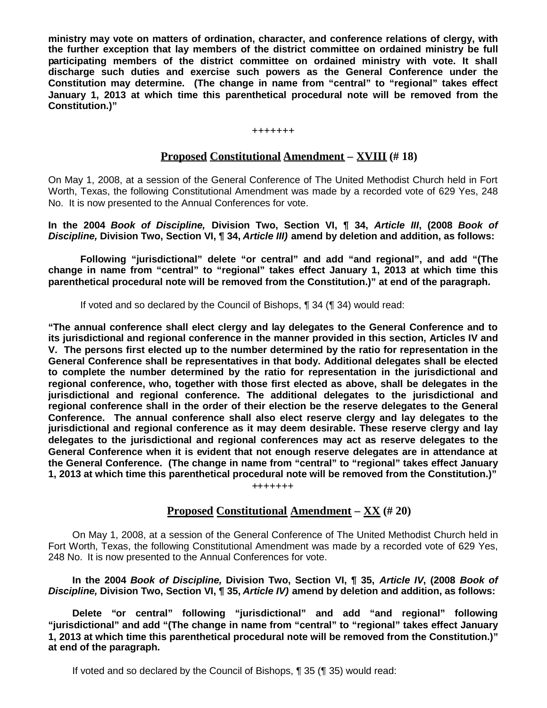**ministry may vote on matters of ordination, character, and conference relations of clergy, with the further exception that lay members of the district committee on ordained ministry be full participating members of the district committee on ordained ministry with vote. It shall discharge such duties and exercise such powers as the General Conference under the Constitution may determine. (The change in name from "central" to "regional" takes effect January 1, 2013 at which time this parenthetical procedural note will be removed from the Constitution.)"**

#### **+++++++**

# **Proposed Constitutional Amendment – XVIII (# 18)**

On May 1, 2008, at a session of the General Conference of The United Methodist Church held in Fort Worth, Texas, the following Constitutional Amendment was made by a recorded vote of 629 Yes, 248 No. It is now presented to the Annual Conferences for vote.

**In the 2004** *Book of Discipline,* **Division Two, Section VI, ¶ 34,** *Article III***, (2008** *Book of Discipline,* **Division Two, Section VI, ¶ 34,** *Article III)* **amend by deletion and addition, as follows:**

**Following "jurisdictional" delete "or central" and add "and regional", and add "(The change in name from "central" to "regional" takes effect January 1, 2013 at which time this parenthetical procedural note will be removed from the Constitution.)" at end of the paragraph.**

If voted and so declared by the Council of Bishops, ¶ 34 (¶ 34) would read:

**"The annual conference shall elect clergy and lay delegates to the General Conference and to its jurisdictional and regional conference in the manner provided in this section, Articles IV and V. The persons first elected up to the number determined by the ratio for representation in the General Conference shall be representatives in that body. Additional delegates shall be elected to complete the number determined by the ratio for representation in the jurisdictional and regional conference, who, together with those first elected as above, shall be delegates in the jurisdictional and regional conference. The additional delegates to the jurisdictional and regional conference shall in the order of their election be the reserve delegates to the General Conference. The annual conference shall also elect reserve clergy and lay delegates to the jurisdictional and regional conference as it may deem desirable. These reserve clergy and lay delegates to the jurisdictional and regional conferences may act as reserve delegates to the General Conference when it is evident that not enough reserve delegates are in attendance at the General Conference. (The change in name from "central" to "regional" takes effect January 1, 2013 at which time this parenthetical procedural note will be removed from the Constitution.)"**

**+++++++**

# **Proposed Constitutional Amendment – XX (# 20)**

On May 1, 2008, at a session of the General Conference of The United Methodist Church held in Fort Worth, Texas, the following Constitutional Amendment was made by a recorded vote of 629 Yes, 248 No. It is now presented to the Annual Conferences for vote.

**In the 2004** *Book of Discipline,* **Division Two, Section VI, ¶ 35,** *Article IV***, (2008** *Book of Discipline,* **Division Two, Section VI, ¶ 35,** *Article IV)* **amend by deletion and addition, as follows:**

**Delete "or central" following "jurisdictional" and add "and regional" following "jurisdictional" and add "(The change in name from "central" to "regional" takes effect January 1, 2013 at which time this parenthetical procedural note will be removed from the Constitution.)" at end of the paragraph.**

If voted and so declared by the Council of Bishops, ¶ 35 (¶ 35) would read: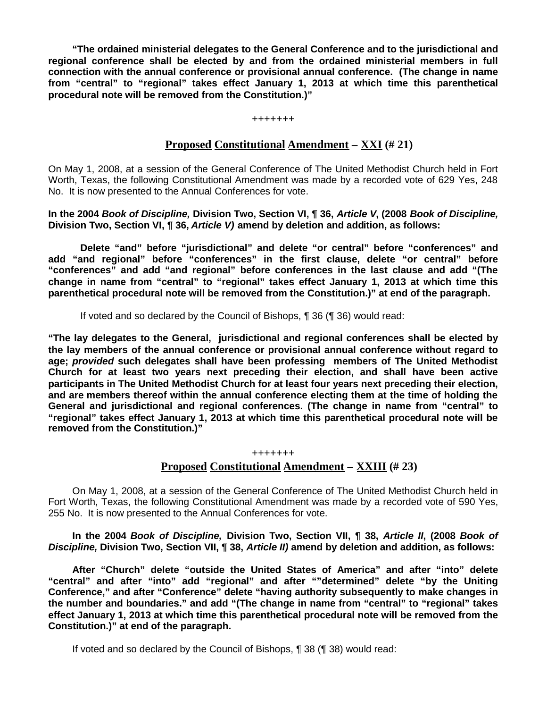**"The ordained ministerial delegates to the General Conference and to the jurisdictional and regional conference shall be elected by and from the ordained ministerial members in full connection with the annual conference or provisional annual conference. (The change in name from "central" to "regional" takes effect January 1, 2013 at which time this parenthetical procedural note will be removed from the Constitution.)"**

#### **+++++++**

# **Proposed Constitutional Amendment – XXI (# 21)**

On May 1, 2008, at a session of the General Conference of The United Methodist Church held in Fort Worth, Texas, the following Constitutional Amendment was made by a recorded vote of 629 Yes, 248 No. It is now presented to the Annual Conferences for vote.

**In the 2004** *Book of Discipline,* **Division Two, Section VI, ¶ 36,** *Article V***, (2008** *Book of Discipline,* **Division Two, Section VI, ¶ 36,** *Article V)* **amend by deletion and addition, as follows:**

**Delete "and" before "jurisdictional" and delete "or central" before "conferences" and add "and regional" before "conferences" in the first clause, delete "or central" before "conferences" and add "and regional" before conferences in the last clause and add "(The change in name from "central" to "regional" takes effect January 1, 2013 at which time this parenthetical procedural note will be removed from the Constitution.)" at end of the paragraph.**

If voted and so declared by the Council of Bishops, ¶ 36 (¶ 36) would read:

**"The lay delegates to the General, jurisdictional and regional conferences shall be elected by the lay members of the annual conference or provisional annual conference without regard to age;** *provided* **such delegates shall have been professing members of The United Methodist Church for at least two years next preceding their election, and shall have been active participants in The United Methodist Church for at least four years next preceding their election, and are members thereof within the annual conference electing them at the time of holding the General and jurisdictional and regional conferences. (The change in name from "central" to "regional" takes effect January 1, 2013 at which time this parenthetical procedural note will be removed from the Constitution.)"**

# **+++++++ Proposed Constitutional Amendment – XXIII (# 23)**

On May 1, 2008, at a session of the General Conference of The United Methodist Church held in Fort Worth, Texas, the following Constitutional Amendment was made by a recorded vote of 590 Yes, 255 No. It is now presented to the Annual Conferences for vote.

**In the 2004** *Book of Discipline,* **Division Two, Section VII, ¶ 38,** *Article II***, (2008** *Book of Discipline,* **Division Two, Section VII, ¶ 38,** *Article II)* **amend by deletion and addition, as follows:**

**After "Church" delete "outside the United States of America" and after "into" delete "central" and after "into" add "regional" and after ""determined" delete "by the Uniting Conference," and after "Conference" delete "having authority subsequently to make changes in the number and boundaries." and add "(The change in name from "central" to "regional" takes effect January 1, 2013 at which time this parenthetical procedural note will be removed from the Constitution.)" at end of the paragraph.**

If voted and so declared by the Council of Bishops, ¶ 38 (¶ 38) would read: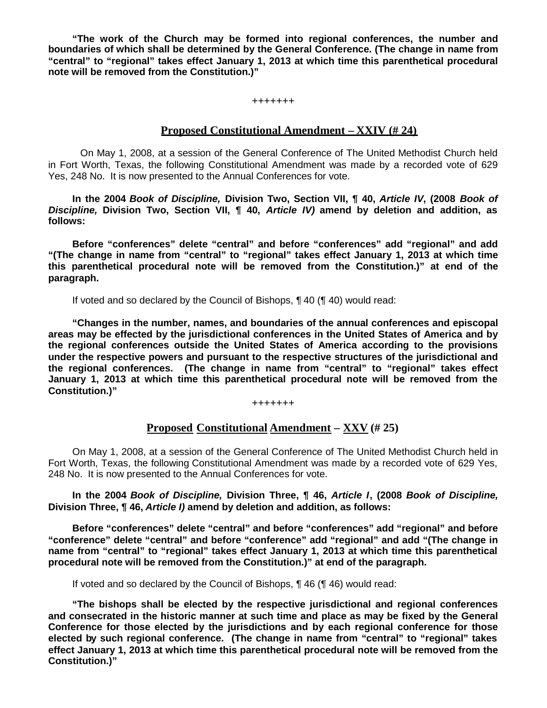**"The work of the Church may be formed into regional conferences, the number and boundaries of which shall be determined by the General Conference. (The change in name from "central" to "regional" takes effect January 1, 2013 at which time this parenthetical procedural note will be removed from the Constitution.)"**

**+++++++**

### **Proposed Constitutional Amendment – XXIV (# 24)**

On May 1, 2008, at a session of the General Conference of The United Methodist Church held in Fort Worth, Texas, the following Constitutional Amendment was made by a recorded vote of 629 Yes, 248 No. It is now presented to the Annual Conferences for vote.

**In the 2004** *Book of Discipline,* **Division Two, Section VII, ¶ 40,** *Article IV***, (2008** *Book of Discipline,* **Division Two, Section VII, ¶ 40,** *Article IV)* **amend by deletion and addition, as follows:**

**Before "conferences" delete "central" and before "conferences" add "regional" and add "(The change in name from "central" to "regional" takes effect January 1, 2013 at which time this parenthetical procedural note will be removed from the Constitution.)" at end of the paragraph.**

If voted and so declared by the Council of Bishops, ¶ 40 (¶ 40) would read:

**"Changes in the number, names, and boundaries of the annual conferences and episcopal areas may be effected by the jurisdictional conferences in the United States of America and by the regional conferences outside the United States of America according to the provisions under the respective powers and pursuant to the respective structures of the jurisdictional and the regional conferences. (The change in name from "central" to "regional" takes effect January 1, 2013 at which time this parenthetical procedural note will be removed from the Constitution.)"**

**+++++++**

# **Proposed Constitutional Amendment – XXV (# 25)**

On May 1, 2008, at a session of the General Conference of The United Methodist Church held in Fort Worth, Texas, the following Constitutional Amendment was made by a recorded vote of 629 Yes, 248 No. It is now presented to the Annual Conferences for vote.

**In the 2004** *Book of Discipline,* **Division Three, ¶ 46,** *Article I***, (2008** *Book of Discipline,* **Division Three, ¶ 46,** *Article I)* **amend by deletion and addition, as follows:**

**Before "conferences" delete "central" and before "conferences" add "regional" and before "conference" delete "central" and before "conference" add "regional" and add "(The change in name from "central" to "regional" takes effect January 1, 2013 at which time this parenthetical procedural note will be removed from the Constitution.)" at end of the paragraph.**

If voted and so declared by the Council of Bishops, ¶ 46 (¶ 46) would read:

**"The bishops shall be elected by the respective jurisdictional and regional conferences and consecrated in the historic manner at such time and place as may be fixed by the General Conference for those elected by the jurisdictions and by each regional conference for those elected by such regional conference. (The change in name from "central" to "regional" takes effect January 1, 2013 at which time this parenthetical procedural note will be removed from the Constitution.)"**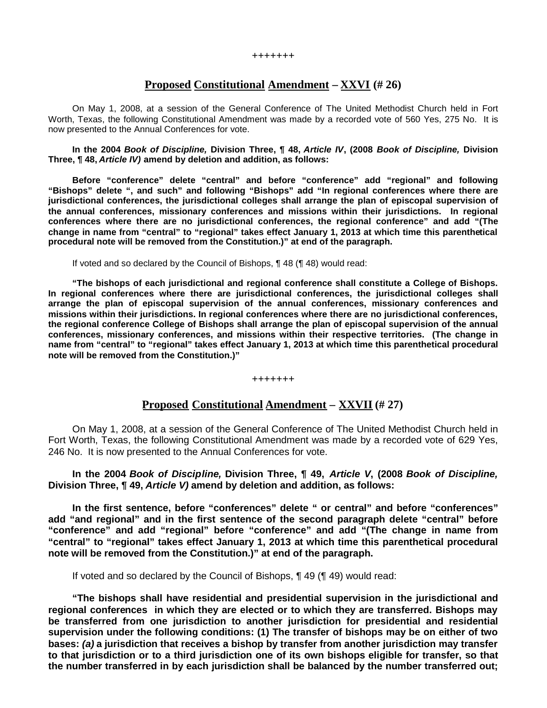#### **+++++++**

# **Proposed Constitutional Amendment – XXVI (# 26)**

On May 1, 2008, at a session of the General Conference of The United Methodist Church held in Fort Worth, Texas, the following Constitutional Amendment was made by a recorded vote of 560 Yes, 275 No. It is now presented to the Annual Conferences for vote.

**In the 2004** *Book of Discipline,* **Division Three, ¶ 48,** *Article IV***, (2008** *Book of Discipline,* **Division Three, ¶ 48,** *Article IV)* **amend by deletion and addition, as follows:**

**Before "conference" delete "central" and before "conference" add "regional" and following "Bishops" delete ", and such" and following "Bishops" add "In regional conferences where there are jurisdictional conferences, the jurisdictional colleges shall arrange the plan of episcopal supervision of the annual conferences, missionary conferences and missions within their jurisdictions. In regional conferences where there are no jurisdictional conferences, the regional conference" and add "(The change in name from "central" to "regional" takes effect January 1, 2013 at which time this parenthetical procedural note will be removed from the Constitution.)" at end of the paragraph.**

If voted and so declared by the Council of Bishops, ¶ 48 (¶ 48) would read:

**"The bishops of each jurisdictional and regional conference shall constitute a College of Bishops. In regional conferences where there are jurisdictional conferences, the jurisdictional colleges shall arrange the plan of episcopal supervision of the annual conferences, missionary conferences and missions within their jurisdictions. In regional conferences where there are no jurisdictional conferences, the regional conference College of Bishops shall arrange the plan of episcopal supervision of the annual conferences, missionary conferences, and missions within their respective territories. (The change in name from "central" to "regional" takes effect January 1, 2013 at which time this parenthetical procedural note will be removed from the Constitution.)"**

**+++++++**

# **Proposed Constitutional Amendment – XXVII (# 27)**

On May 1, 2008, at a session of the General Conference of The United Methodist Church held in Fort Worth, Texas, the following Constitutional Amendment was made by a recorded vote of 629 Yes, 246 No. It is now presented to the Annual Conferences for vote.

**In the 2004** *Book of Discipline,* **Division Three, ¶ 49,** *Article V***, (2008** *Book of Discipline,* **Division Three, ¶ 49,** *Article V)* **amend by deletion and addition, as follows:**

**In the first sentence, before "conferences" delete " or central" and before "conferences" add "and regional" and in the first sentence of the second paragraph delete "central" before "conference" and add "regional" before "conference" and add "(The change in name from "central" to "regional" takes effect January 1, 2013 at which time this parenthetical procedural note will be removed from the Constitution.)" at end of the paragraph.**

If voted and so declared by the Council of Bishops, ¶ 49 (¶ 49) would read:

**"The bishops shall have residential and presidential supervision in the jurisdictional and regional conferences in which they are elected or to which they are transferred. Bishops may be transferred from one jurisdiction to another jurisdiction for presidential and residential supervision under the following conditions: (1) The transfer of bishops may be on either of two bases:** *(a)* **a jurisdiction that receives a bishop by transfer from another jurisdiction may transfer to that jurisdiction or to a third jurisdiction one of its own bishops eligible for transfer, so that the number transferred in by each jurisdiction shall be balanced by the number transferred out;**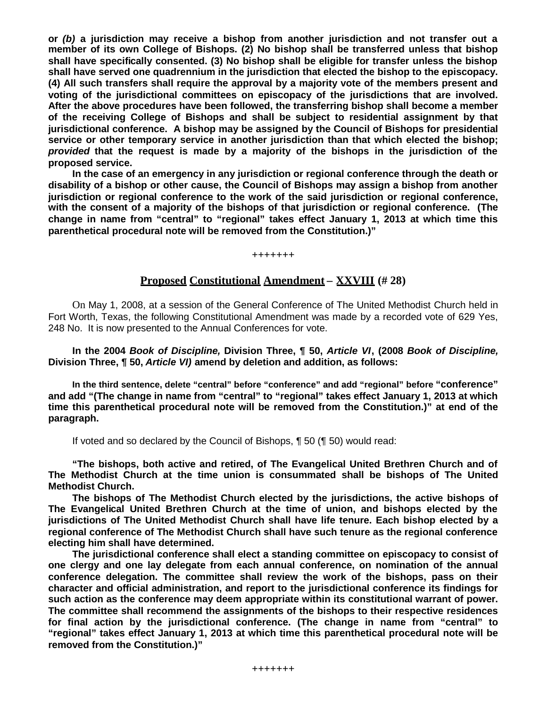**or** *(b)* **a jurisdiction may receive a bishop from another jurisdiction and not transfer out a member of its own College of Bishops. (2) No bishop shall be transferred unless that bishop shall have specifically consented. (3) No bishop shall be eligible for transfer unless the bishop shall have served one quadrennium in the jurisdiction that elected the bishop to the episcopacy. (4) All such transfers shall require the approval by a majority vote of the members present and voting of the jurisdictional committees on episcopacy of the jurisdictions that are involved. After the above procedures have been followed, the transferring bishop shall become a member of the receiving College of Bishops and shall be subject to residential assignment by that jurisdictional conference. A bishop may be assigned by the Council of Bishops for presidential service or other temporary service in another jurisdiction than that which elected the bishop;** *provided* **that the request is made by a majority of the bishops in the jurisdiction of the proposed service.**

**In the case of an emergency in any jurisdiction or regional conference through the death or disability of a bishop or other cause, the Council of Bishops may assign a bishop from another jurisdiction or regional conference to the work of the said jurisdiction or regional conference, with the consent of a majority of the bishops of that jurisdiction or regional conference. (The change in name from "central" to "regional" takes effect January 1, 2013 at which time this parenthetical procedural note will be removed from the Constitution.)"**

**+++++++**

# **Proposed Constitutional Amendment – XXVIII (# 28)**

On May 1, 2008, at a session of the General Conference of The United Methodist Church held in Fort Worth, Texas, the following Constitutional Amendment was made by a recorded vote of 629 Yes, 248 No. It is now presented to the Annual Conferences for vote.

**In the 2004** *Book of Discipline,* **Division Three, ¶ 50,** *Article VI***, (2008** *Book of Discipline,* **Division Three, ¶ 50,** *Article VI)* **amend by deletion and addition, as follows:**

**In the third sentence, delete "central" before "conference" and add "regional" before "conference" and add "(The change in name from "central" to "regional" takes effect January 1, 2013 at which time this parenthetical procedural note will be removed from the Constitution.)" at end of the paragraph.**

If voted and so declared by the Council of Bishops, ¶ 50 (¶ 50) would read:

**"The bishops, both active and retired, of The Evangelical United Brethren Church and of The Methodist Church at the time union is consummated shall be bishops of The United Methodist Church.**

**The bishops of The Methodist Church elected by the jurisdictions, the active bishops of The Evangelical United Brethren Church at the time of union, and bishops elected by the jurisdictions of The United Methodist Church shall have life tenure. Each bishop elected by a regional conference of The Methodist Church shall have such tenure as the regional conference electing him shall have determined.**

**The jurisdictional conference shall elect a standing committee on episcopacy to consist of one clergy and one lay delegate from each annual conference, on nomination of the annual conference delegation. The committee shall review the work of the bishops, pass on their character and official administration, and report to the jurisdictional conference its findings for such action as the conference may deem appropriate within its constitutional warrant of power. The committee shall recommend the assignments of the bishops to their respective residences for final action by the jurisdictional conference. (The change in name from "central" to "regional" takes effect January 1, 2013 at which time this parenthetical procedural note will be removed from the Constitution.)"**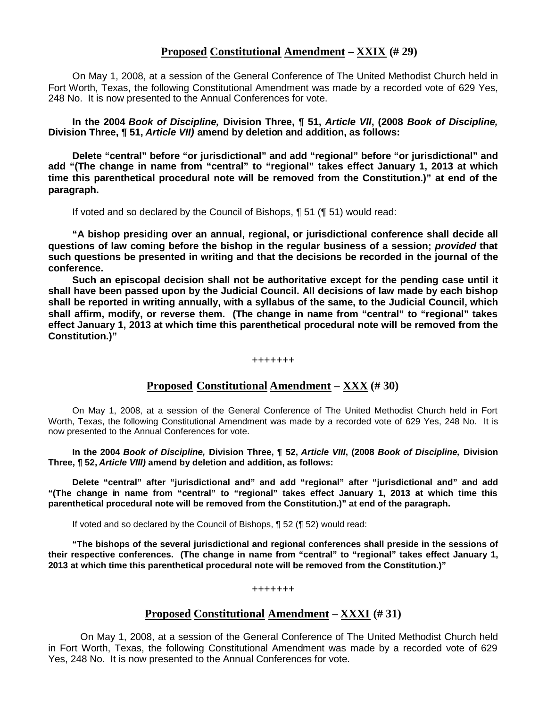# **Proposed Constitutional Amendment – XXIX (# 29)**

On May 1, 2008, at a session of the General Conference of The United Methodist Church held in Fort Worth, Texas, the following Constitutional Amendment was made by a recorded vote of 629 Yes, 248 No. It is now presented to the Annual Conferences for vote.

**In the 2004** *Book of Discipline,* **Division Three, ¶ 51,** *Article VII***, (2008** *Book of Discipline,* **Division Three, ¶ 51,** *Article VII)* **amend by deletion and addition, as follows:**

**Delete "central" before "or jurisdictional" and add "regional" before "or jurisdictional" and add "(The change in name from "central" to "regional" takes effect January 1, 2013 at which time this parenthetical procedural note will be removed from the Constitution.)" at end of the paragraph.**

If voted and so declared by the Council of Bishops, ¶ 51 (¶ 51) would read:

**"A bishop presiding over an annual, regional, or jurisdictional conference shall decide all questions of law coming before the bishop in the regular business of a session;** *provided* **that such questions be presented in writing and that the decisions be recorded in the journal of the conference.**

**Such an episcopal decision shall not be authoritative except for the pending case until it shall have been passed upon by the Judicial Council. All decisions of law made by each bishop shall be reported in writing annually, with a syllabus of the same, to the Judicial Council, which shall affirm, modify, or reverse them. (The change in name from "central" to "regional" takes effect January 1, 2013 at which time this parenthetical procedural note will be removed from the Constitution.)"**

#### **+++++++**

# **Proposed Constitutional Amendment – XXX (# 30)**

On May 1, 2008, at a session of the General Conference of The United Methodist Church held in Fort Worth, Texas, the following Constitutional Amendment was made by a recorded vote of 629 Yes, 248 No. It is now presented to the Annual Conferences for vote.

**In the 2004** *Book of Discipline,* **Division Three, ¶ 52,** *Article VIII***, (2008** *Book of Discipline,* **Division Three, ¶ 52,** *Article VIII)* **amend by deletion and addition, as follows:**

**Delete "central" after "jurisdictional and" and add "regional" after "jurisdictional and" and add "(The change in name from "central" to "regional" takes effect January 1, 2013 at which time this parenthetical procedural note will be removed from the Constitution.)" at end of the paragraph.**

If voted and so declared by the Council of Bishops, ¶ 52 (¶ 52) would read:

**"The bishops of the several jurisdictional and regional conferences shall preside in the sessions of their respective conferences. (The change in name from "central" to "regional" takes effect January 1, 2013 at which time this parenthetical procedural note will be removed from the Constitution.)"**

#### **+++++++**

# **Proposed Constitutional Amendment – XXXI (# 31)**

On May 1, 2008, at a session of the General Conference of The United Methodist Church held in Fort Worth, Texas, the following Constitutional Amendment was made by a recorded vote of 629 Yes, 248 No. It is now presented to the Annual Conferences for vote.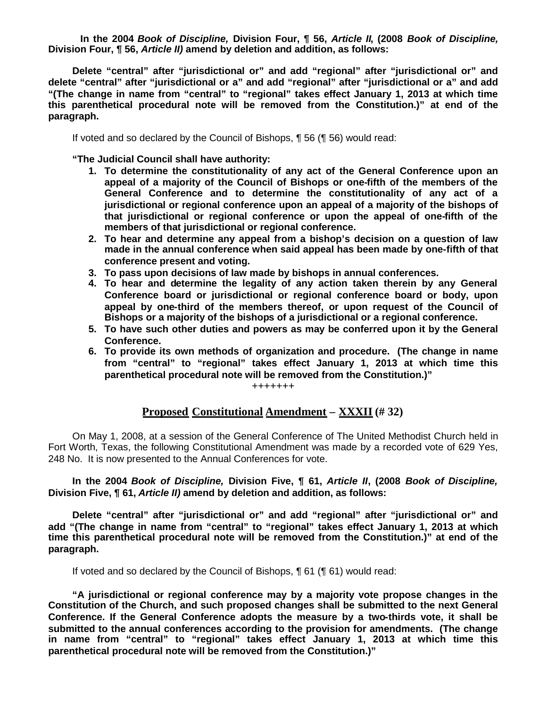**In the 2004** *Book of Discipline,* **Division Four, ¶ 56,** *Article II***, (2008** *Book of Discipline,* **Division Four, ¶ 56,** *Article II)* **amend by deletion and addition, as follows:**

**Delete "central" after "jurisdictional or" and add "regional" after "jurisdictional or" and delete "central" after "jurisdictional or a" and add "regional" after "jurisdictional or a" and add "(The change in name from "central" to "regional" takes effect January 1, 2013 at which time this parenthetical procedural note will be removed from the Constitution.)" at end of the paragraph.**

If voted and so declared by the Council of Bishops, ¶ 56 (¶ 56) would read:

**"The Judicial Council shall have authority:**

- **1. To determine the constitutionality of any act of the General Conference upon an appeal of a majority of the Council of Bishops or one-fifth of the members of the General Conference and to determine the constitutionality of any act of a jurisdictional or regional conference upon an appeal of a majority of the bishops of that jurisdictional or regional conference or upon the appeal of one-fifth of the members of that jurisdictional or regional conference.**
- **2. To hear and determine any appeal from a bishop's decision on a question of law made in the annual conference when said appeal has been made by one-fifth of that conference present and voting.**
- **3. To pass upon decisions of law made by bishops in annual conferences.**
- **4. To hear and determine the legality of any action taken therein by any General Conference board or jurisdictional or regional conference board or body, upon appeal by one-third of the members thereof, or upon request of the Council of Bishops or a majority of the bishops of a jurisdictional or a regional conference.**
- **5. To have such other duties and powers as may be conferred upon it by the General Conference.**
- **6. To provide its own methods of organization and procedure. (The change in name from "central" to "regional" takes effect January 1, 2013 at which time this parenthetical procedural note will be removed from the Constitution.)"**

#### **+++++++**

### **Proposed Constitutional Amendment – XXXII (# 32)**

On May 1, 2008, at a session of the General Conference of The United Methodist Church held in Fort Worth, Texas, the following Constitutional Amendment was made by a recorded vote of 629 Yes, 248 No. It is now presented to the Annual Conferences for vote.

**In the 2004** *Book of Discipline,* **Division Five, ¶ 61,** *Article II***, (2008** *Book of Discipline,* **Division Five, ¶ 61,** *Article II)* **amend by deletion and addition, as follows:**

**Delete "central" after "jurisdictional or" and add "regional" after "jurisdictional or" and add "(The change in name from "central" to "regional" takes effect January 1, 2013 at which time this parenthetical procedural note will be removed from the Constitution.)" at end of the paragraph.**

If voted and so declared by the Council of Bishops, ¶ 61 (¶ 61) would read:

**"A jurisdictional or regional conference may by a majority vote propose changes in the Constitution of the Church, and such proposed changes shall be submitted to the next General Conference. If the General Conference adopts the measure by a two-thirds vote, it shall be submitted to the annual conferences according to the provision for amendments. (The change in name from "central" to "regional" takes effect January 1, 2013 at which time this parenthetical procedural note will be removed from the Constitution.)"**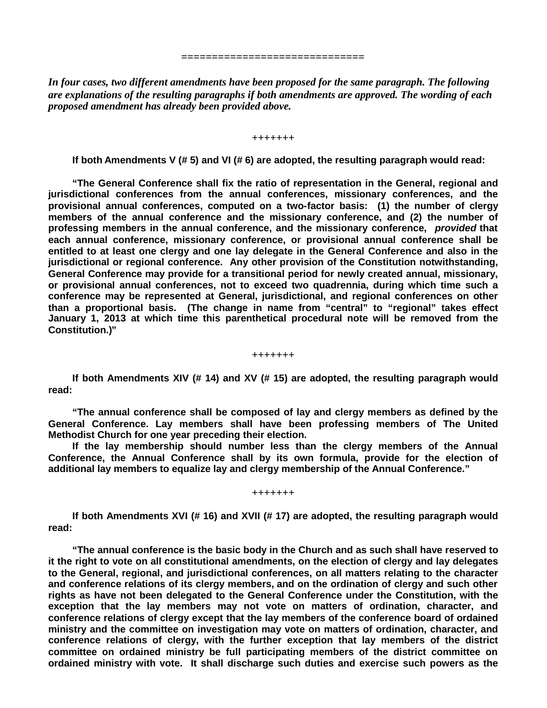*In four cases, two different amendments have been proposed for the same paragraph. The following are explanations of the resulting paragraphs if both amendments are approved. The wording of each proposed amendment has already been provided above.*

**==============================**

**+++++++**

**If both Amendments V (# 5) and VI (# 6) are adopted, the resulting paragraph would read:**

**"The General Conference shall fix the ratio of representation in the General, regional and jurisdictional conferences from the annual conferences, missionary conferences, and the provisional annual conferences, computed on a two-factor basis: (1) the number of clergy members of the annual conference and the missionary conference, and (2) the number of professing members in the annual conference, and the missionary conference,** *provided* **that each annual conference, missionary conference, or provisional annual conference shall be entitled to at least one clergy and one lay delegate in the General Conference and also in the jurisdictional or regional conference. Any other provision of the Constitution notwithstanding, General Conference may provide for a transitional period for newly created annual, missionary, or provisional annual conferences, not to exceed two quadrennia, during which time such a conference may be represented at General, jurisdictional, and regional conferences on other than a proportional basis. (The change in name from "central" to "regional" takes effect January 1, 2013 at which time this parenthetical procedural note will be removed from the Constitution.)"**

**+++++++**

**If both Amendments XIV (# 14) and XV (# 15) are adopted, the resulting paragraph would read:**

**"The annual conference shall be composed of lay and clergy members as defined by the General Conference. Lay members shall have been professing members of The United Methodist Church for one year preceding their election.**

**If the lay membership should number less than the clergy members of the Annual Conference, the Annual Conference shall by its own formula, provide for the election of additional lay members to equalize lay and clergy membership of the Annual Conference."**

**+++++++**

**If both Amendments XVI (# 16) and XVII (# 17) are adopted, the resulting paragraph would read:**

**"The annual conference is the basic body in the Church and as such shall have reserved to it the right to vote on all constitutional amendments, on the election of clergy and lay delegates to the General, regional, and jurisdictional conferences, on all matters relating to the character and conference relations of its clergy members, and on the ordination of clergy and such other rights as have not been delegated to the General Conference under the Constitution, with the exception that the lay members may not vote on matters of ordination, character, and conference relations of clergy except that the lay members of the conference board of ordained ministry and the committee on investigation may vote on matters of ordination, character, and conference relations of clergy, with the further exception that lay members of the district committee on ordained ministry be full participating members of the district committee on ordained ministry with vote. It shall discharge such duties and exercise such powers as the**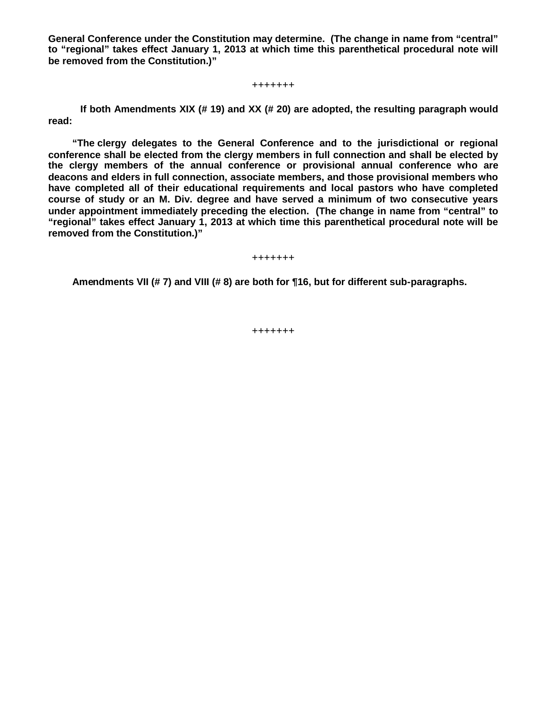**General Conference under the Constitution may determine. (The change in name from "central" to "regional" takes effect January 1, 2013 at which time this parenthetical procedural note will be removed from the Constitution.)"**

**+++++++**

**If both Amendments XIX (# 19) and XX (# 20) are adopted, the resulting paragraph would read:**

**"The clergy delegates to the General Conference and to the jurisdictional or regional conference shall be elected from the clergy members in full connection and shall be elected by the clergy members of the annual conference or provisional annual conference who are deacons and elders in full connection, associate members, and those provisional members who have completed all of their educational requirements and local pastors who have completed course of study or an M. Div. degree and have served a minimum of two consecutive years under appointment immediately preceding the election. (The change in name from "central" to "regional" takes effect January 1, 2013 at which time this parenthetical procedural note will be removed from the Constitution.)"**

**+++++++**

**Amendments VII (# 7) and VIII (# 8) are both for ¶16, but for different sub-paragraphs.**

**+++++++**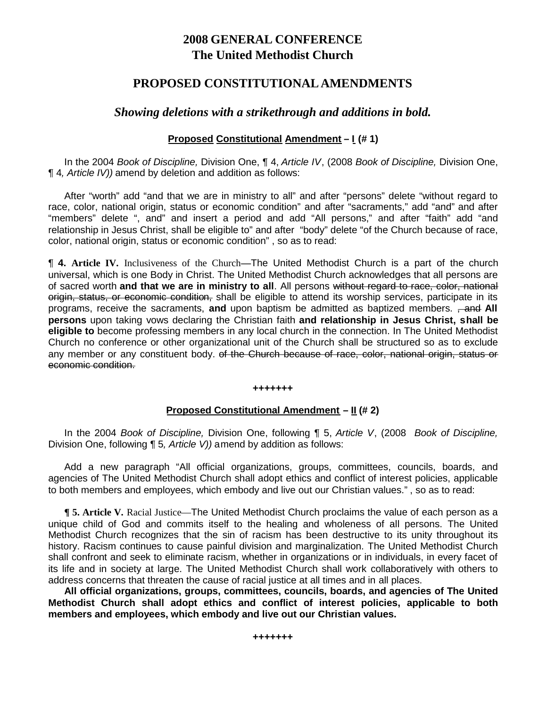# **2008 GENERAL CONFERENCE The United Methodist Church**

# **PROPOSED CONSTITUTIONAL AMENDMENTS**

# *Showing deletions with a strikethrough and additions in bold.*

# **Proposed Constitutional Amendment – I (# 1)**

In the 2004 *Book of Discipline,* Division One, ¶ 4, *Article IV*, (2008 *Book of Discipline,* Division One, ¶ 4*, Article IV))* amend by deletion and addition as follows:

After "worth" add "and that we are in ministry to all" and after "persons" delete "without regard to race, color, national origin, status or economic condition" and after "sacraments," add "and" and after "members" delete ", and" and insert a period and add "All persons," and after "faith" add "and relationship in Jesus Christ, shall be eligible to" and after "body" delete "of the Church because of race, color, national origin, status or economic condition" , so as to read:

¶ **4. Article IV.** Inclusiveness of the Church**—**The United Methodist Church is a part of the church universal, which is one Body in Christ. The United Methodist Church acknowledges that all persons are of sacred worth **and that we are in ministry to all**. All persons without regard to race, color, national origin, status, or economic condition, shall be eligible to attend its worship services, participate in its programs, receive the sacraments, and upon baptism be admitted as baptized members. <del>, and</del> All **persons** upon taking vows declaring the Christian faith **and relationship in Jesus Christ, shall be eligible to** become professing members in any local church in the connection. In The United Methodist Church no conference or other organizational unit of the Church shall be structured so as to exclude any member or any constituent body. of the Church because of race, color, national origin, status or economic condition.

#### **+++++++**

### **Proposed Constitutional Amendment – II (# 2)**

In the 2004 *Book of Discipline,* Division One, following ¶ 5, *Article V*, (2008 *Book of Discipline,* Division One, following ¶ 5*, Article V))* amend by addition as follows:

Add a new paragraph "All official organizations, groups, committees, councils, boards, and agencies of The United Methodist Church shall adopt ethics and conflict of interest policies, applicable to both members and employees, which embody and live out our Christian values." , so as to read:

**¶ 5. Article V.** Racial Justice—The United Methodist Church proclaims the value of each person as a unique child of God and commits itself to the healing and wholeness of all persons. The United Methodist Church recognizes that the sin of racism has been destructive to its unity throughout its history. Racism continues to cause painful division and marginalization. The United Methodist Church shall confront and seek to eliminate racism, whether in organizations or in individuals, in every facet of its life and in society at large. The United Methodist Church shall work collaboratively with others to address concerns that threaten the cause of racial justice at all times and in all places.

**All official organizations, groups, committees, councils, boards, and agencies of The United Methodist Church shall adopt ethics and conflict of interest policies, applicable to both members and employees, which embody and live out our Christian values.**

**+++++++**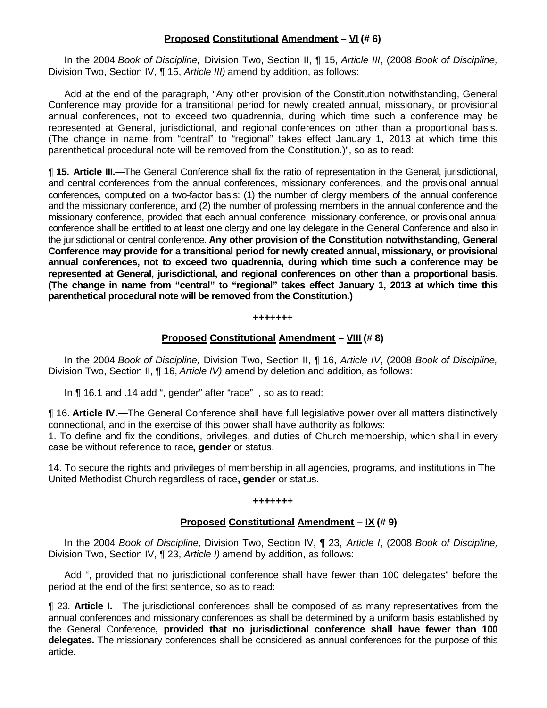# **Proposed Constitutional Amendment – VI (# 6)**

In the 2004 *Book of Discipline,* Division Two, Section II, ¶ 15, *Article III*, (2008 *Book of Discipline,* Division Two, Section IV, ¶ 15, *Article III)* amend by addition, as follows:

Add at the end of the paragraph, "Any other provision of the Constitution notwithstanding, General Conference may provide for a transitional period for newly created annual, missionary, or provisional annual conferences, not to exceed two quadrennia, during which time such a conference may be represented at General, jurisdictional, and regional conferences on other than a proportional basis. (The change in name from "central" to "regional" takes effect January 1, 2013 at which time this parenthetical procedural note will be removed from the Constitution.)", so as to read:

¶ **15. Article III.**—The General Conference shall fix the ratio of representation in the General, jurisdictional, and central conferences from the annual conferences, missionary conferences, and the provisional annual conferences, computed on a two-factor basis: (1) the number of clergy members of the annual conference and the missionary conference, and (2) the number of professing members in the annual conference and the missionary conference, provided that each annual conference, missionary conference, or provisional annual conference shall be entitled to at least one clergy and one lay delegate in the General Conference and also in the jurisdictional or central conference. **Any other provision of the Constitution notwithstanding, General Conference may provide for a transitional period for newly created annual, missionary, or provisional annual conferences, not to exceed two quadrennia, during which time such a conference may be represented at General, jurisdictional, and regional conferences on other than a proportional basis. (The change in name from "central" to "regional" takes effect January 1, 2013 at which time this parenthetical procedural note will be removed from the Constitution.)**

#### **+++++++**

### **Proposed Constitutional Amendment – VIII (# 8)**

In the 2004 *Book of Discipline,* Division Two, Section II, ¶ 16, *Article IV*, (2008 *Book of Discipline,* Division Two, Section II, ¶ 16, *Article IV)* amend by deletion and addition, as follows:

In ¶ 16.1 and .14 add ", gender" after "race", so as to read:

¶ 16. **Article IV**.—The General Conference shall have full legislative power over all matters distinctively connectional, and in the exercise of this power shall have authority as follows:

1. To define and fix the conditions, privileges, and duties of Church membership, which shall in every case be without reference to race**, gender** or status.

14. To secure the rights and privileges of membership in all agencies, programs, and institutions in The United Methodist Church regardless of race**, gender** or status.

#### **+++++++**

### **Proposed Constitutional Amendment – IX (# 9)**

In the 2004 *Book of Discipline,* Division Two, Section IV, ¶ 23, *Article I*, (2008 *Book of Discipline,* Division Two, Section IV, ¶ 23, *Article I)* amend by addition, as follows:

Add ", provided that no jurisdictional conference shall have fewer than 100 delegates" before the period at the end of the first sentence, so as to read:

¶ 23. **Article I.**—The jurisdictional conferences shall be composed of as many representatives from the annual conferences and missionary conferences as shall be determined by a uniform basis established by the General Conference**, provided that no jurisdictional conference shall have fewer than 100 delegates.** The missionary conferences shall be considered as annual conferences for the purpose of this article.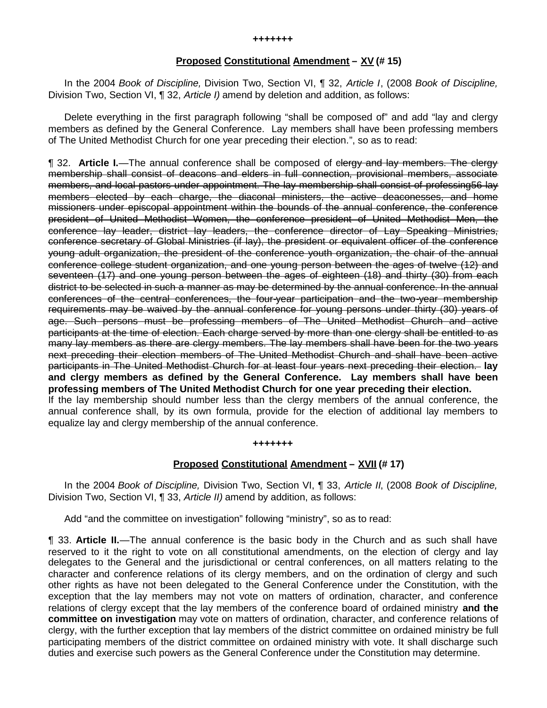#### **Proposed Constitutional Amendment – XV (# 15)**

In the 2004 *Book of Discipline,* Division Two, Section VI, ¶ 32, *Article I*, (2008 *Book of Discipline,* Division Two, Section VI, ¶ 32, *Article I)* amend by deletion and addition, as follows:

Delete everything in the first paragraph following "shall be composed of" and add "lay and clergy members as defined by the General Conference. Lay members shall have been professing members of The United Methodist Church for one year preceding their election.", so as to read:

¶ 32. **Article I.**—The annual conference shall be composed of clergy and lay members. The clergy membership shall consist of deacons and elders in full connection, provisional members, associate members, and local pastors under appointment. The lay membership shall consist of professing56 lay members elected by each charge, the diaconal ministers, the active deaconesses, and home missioners under episcopal appointment within the bounds of the annual conference, the conference president of United Methodist Women, the conference president of United Methodist Men, the conference lay leader, district lay leaders, the conference director of Lay Speaking Ministries, conference secretary of Global Ministries (if lay), the president or equivalent officer of the conference young adult organization, the president of the conference youth organization, the chair of the annual conference college student organization, and one young person between the ages of twelve (12) and seventeen (17) and one young person between the ages of eighteen (18) and thirty (30) from each district to be selected in such a manner as may be determined by the annual conference. In the annual conferences of the central conferences, the four-year participation and the two-year membership requirements may be waived by the annual conference for young persons under thirty (30) years of age. Such persons must be professing members of The United Methodist Church and active participants at the time of election. Each charge served by more than one clergy shall be entitled to as many lay members as there are clergy members. The lay members shall have been for the two years next preceding their election members of The United Methodist Church and shall have been active participants in The United Methodist Church for at least four years next preceding their election. **lay and clergy members as defined by the General Conference. Lay members shall have been professing members of The United Methodist Church for one year preceding their election.** If the lay membership should number less than the clergy members of the annual conference, the annual conference shall, by its own formula, provide for the election of additional lay members to equalize lay and clergy membership of the annual conference.

#### **+++++++**

#### **Proposed Constitutional Amendment – XVII (# 17)**

In the 2004 *Book of Discipline,* Division Two, Section VI, ¶ 33, *Article II*, (2008 *Book of Discipline,* Division Two, Section VI, ¶ 33, *Article II)* amend by addition, as follows:

Add "and the committee on investigation" following "ministry", so as to read:

¶ 33. **Article II.**—The annual conference is the basic body in the Church and as such shall have reserved to it the right to vote on all constitutional amendments, on the election of clergy and lay delegates to the General and the jurisdictional or central conferences, on all matters relating to the character and conference relations of its clergy members, and on the ordination of clergy and such other rights as have not been delegated to the General Conference under the Constitution, with the exception that the lay members may not vote on matters of ordination, character, and conference relations of clergy except that the lay members of the conference board of ordained ministry **and the committee on investigation** may vote on matters of ordination, character, and conference relations of clergy, with the further exception that lay members of the district committee on ordained ministry be full participating members of the district committee on ordained ministry with vote. It shall discharge such duties and exercise such powers as the General Conference under the Constitution may determine.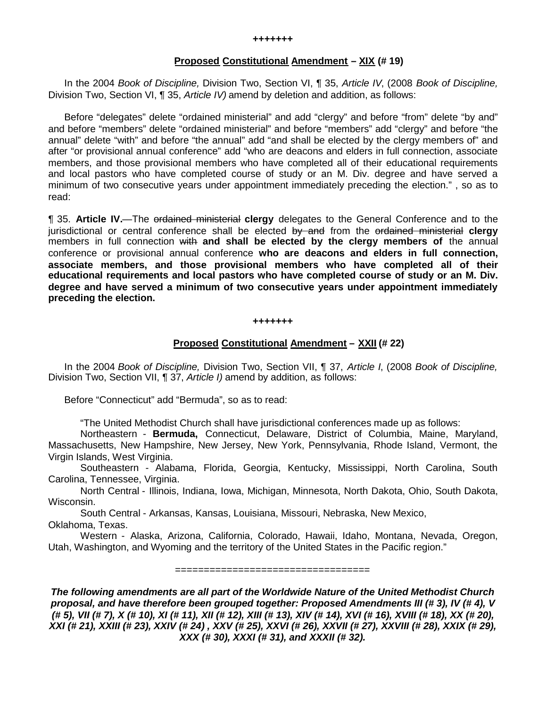#### **Proposed Constitutional Amendment – XIX (# 19)**

In the 2004 *Book of Discipline,* Division Two, Section VI, ¶ 35, *Article IV*, (2008 *Book of Discipline,* Division Two, Section VI, ¶ 35, *Article IV)* amend by deletion and addition, as follows:

Before "delegates" delete "ordained ministerial" and add "clergy" and before "from" delete "by and" and before "members" delete "ordained ministerial" and before "members" add "clergy" and before "the annual" delete "with" and before "the annual" add "and shall be elected by the clergy members of" and after "or provisional annual conference" add "who are deacons and elders in full connection, associate members, and those provisional members who have completed all of their educational requirements and local pastors who have completed course of study or an M. Div. degree and have served a minimum of two consecutive years under appointment immediately preceding the election." , so as to read:

¶ 35. **Article IV.**—The ordained ministerial **clergy** delegates to the General Conference and to the jurisdictional or central conference shall be elected by and from the ordained ministerial **clergy** members in full connection with **and shall be elected by the clergy members of** the annual conference or provisional annual conference **who are deacons and elders in full connection, associate members, and those provisional members who have completed all of their educational requirements and local pastors who have completed course of study or an M. Div. degree and have served a minimum of two consecutive years under appointment immediately preceding the election.**

#### **+++++++**

# **Proposed Constitutional Amendment – XXII (# 22)**

In the 2004 *Book of Discipline,* Division Two, Section VII, ¶ 37, *Article I*, (2008 *Book of Discipline,* Division Two, Section VII, ¶ 37, *Article I)* amend by addition, as follows:

Before "Connecticut" add "Bermuda", so as to read:

"The United Methodist Church shall have jurisdictional conferences made up as follows:

Northeastern - **Bermuda,** Connecticut, Delaware, District of Columbia, Maine, Maryland, Massachusetts, New Hampshire, New Jersey, New York, Pennsylvania, Rhode Island, Vermont, the Virgin Islands, West Virginia.

Southeastern - Alabama, Florida, Georgia, Kentucky, Mississippi, North Carolina, South Carolina, Tennessee, Virginia.

North Central - Illinois, Indiana, Iowa, Michigan, Minnesota, North Dakota, Ohio, South Dakota, Wisconsin.

South Central - Arkansas, Kansas, Louisiana, Missouri, Nebraska, New Mexico, Oklahoma, Texas.

Western - Alaska, Arizona, California, Colorado, Hawaii, Idaho, Montana, Nevada, Oregon, Utah, Washington, and Wyoming and the territory of the United States in the Pacific region."

==================================

*The following amendments are all part of the Worldwide Nature of the United Methodist Church proposal, and have therefore been grouped together: Proposed Amendments III (# 3), IV (# 4), V (# 5), VII (# 7), X (# 10), XI (# 11), XII (# 12), XIII (# 13), XIV (# 14), XVI (# 16), XVIII (# 18), XX (# 20), XXI (# 21), XXIII (# 23), XXIV (# 24) , XXV (# 25), XXVI (# 26), XXVII (# 27), XXVIII (# 28), XXIX (# 29), XXX (# 30), XXXI (# 31), and XXXII (# 32).*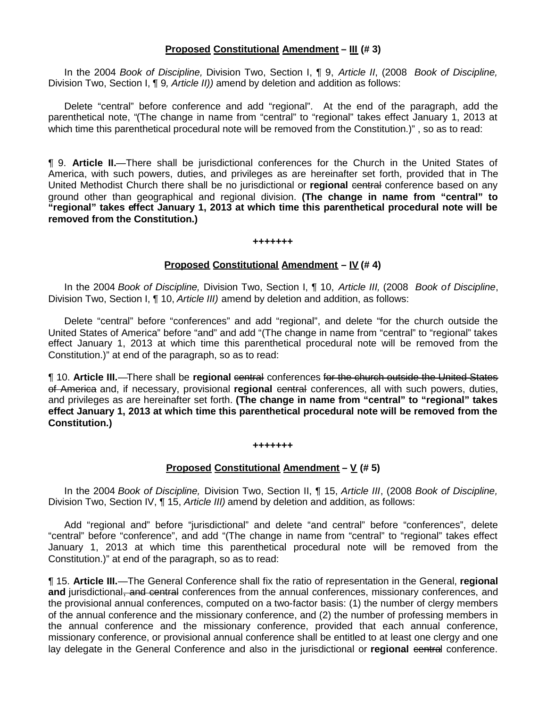### **Proposed Constitutional Amendment – III (# 3)**

In the 2004 *Book of Discipline,* Division Two, Section I, ¶ 9, *Article II*, (2008 *Book of Discipline,* Division Two, Section I, ¶ 9*, Article II))* amend by deletion and addition as follows:

Delete "central" before conference and add "regional". At the end of the paragraph, add the parenthetical note, "(The change in name from "central" to "regional" takes effect January 1, 2013 at which time this parenthetical procedural note will be removed from the Constitution.)", so as to read:

¶ 9. **Article II.**—There shall be jurisdictional conferences for the Church in the United States of America, with such powers, duties, and privileges as are hereinafter set forth, provided that in The United Methodist Church there shall be no jurisdictional or **regional** central conference based on any ground other than geographical and regional division. **(The change in name from "central" to "regional" takes effect January 1, 2013 at which time this parenthetical procedural note will be removed from the Constitution.)**

#### **+++++++**

### **Proposed Constitutional Amendment – IV (# 4)**

In the 2004 *Book of Discipline,* Division Two, Section I, ¶ 10, *Article III,* (2008 *Book of Discipline*, Division Two, Section I, ¶ 10, *Article III)* amend by deletion and addition, as follows:

Delete "central" before "conferences" and add "regional", and delete "for the church outside the United States of America" before "and" and add "(The change in name from "central" to "regional" takes effect January 1, 2013 at which time this parenthetical procedural note will be removed from the Constitution.)" at end of the paragraph, so as to read:

¶ 10. **Article III.**—There shall be **regional** central conferences for the church outside the United States of America and, if necessary, provisional **regional** central conferences, all with such powers, duties, and privileges as are hereinafter set forth. **(The change in name from "central" to "regional" takes effect January 1, 2013 at which time this parenthetical procedural note will be removed from the Constitution.)**

#### **+++++++**

### **Proposed Constitutional Amendment – V (# 5)**

In the 2004 *Book of Discipline,* Division Two, Section II, ¶ 15, *Article III*, (2008 *Book of Discipline,* Division Two, Section IV, ¶ 15, *Article III)* amend by deletion and addition, as follows:

Add "regional and" before "jurisdictional" and delete "and central" before "conferences", delete "central" before "conference", and add "(The change in name from "central" to "regional" takes effect January 1, 2013 at which time this parenthetical procedural note will be removed from the Constitution.)" at end of the paragraph, so as to read:

¶ 15. **Article III.**—The General Conference shall fix the ratio of representation in the General, **regional and** jurisdictional, and central conferences from the annual conferences, missionary conferences, and the provisional annual conferences, computed on a two-factor basis: (1) the number of clergy members of the annual conference and the missionary conference, and (2) the number of professing members in the annual conference and the missionary conference, provided that each annual conference, missionary conference, or provisional annual conference shall be entitled to at least one clergy and one lay delegate in the General Conference and also in the jurisdictional or **regional** central conference.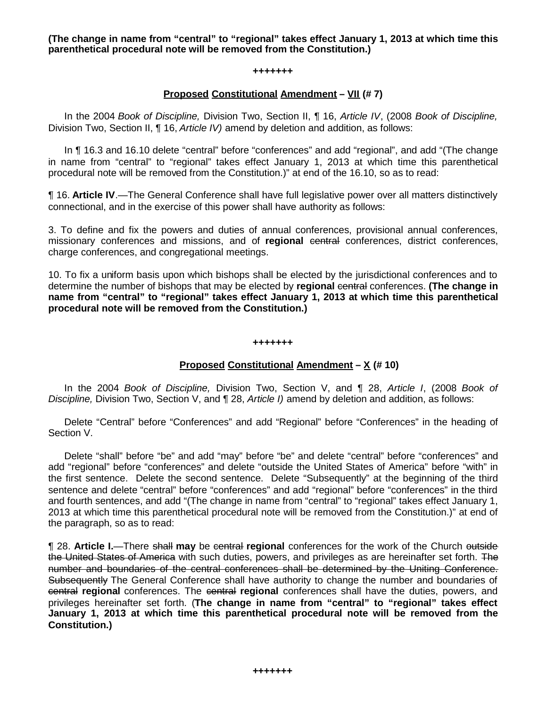**(The change in name from "central" to "regional" takes effect January 1, 2013 at which time this parenthetical procedural note will be removed from the Constitution.)**

#### **+++++++**

### **Proposed Constitutional Amendment – VII (# 7)**

In the 2004 *Book of Discipline,* Division Two, Section II, ¶ 16, *Article IV*, (2008 *Book of Discipline,* Division Two, Section II, ¶ 16, *Article IV)* amend by deletion and addition, as follows:

In ¶ 16.3 and 16.10 delete "central" before "conferences" and add "regional", and add "(The change in name from "central" to "regional" takes effect January 1, 2013 at which time this parenthetical procedural note will be removed from the Constitution.)" at end of the 16.10, so as to read:

¶ 16. **Article IV**.—The General Conference shall have full legislative power over all matters distinctively connectional, and in the exercise of this power shall have authority as follows:

3. To define and fix the powers and duties of annual conferences, provisional annual conferences, missionary conferences and missions, and of regional central conferences, district conferences, charge conferences, and congregational meetings.

10. To fix a uniform basis upon which bishops shall be elected by the jurisdictional conferences and to determine the number of bishops that may be elected by **regional** central conferences. **(The change in name from "central" to "regional" takes effect January 1, 2013 at which time this parenthetical procedural note will be removed from the Constitution.)**

#### **+++++++**

# **Proposed Constitutional Amendment – X (# 10)**

In the 2004 *Book of Discipline,* Division Two, Section V, and ¶ 28, *Article I*, (2008 *Book of Discipline,* Division Two, Section V, and ¶ 28, *Article I)* amend by deletion and addition, as follows:

Delete "Central" before "Conferences" and add "Regional" before "Conferences" in the heading of Section V.

Delete "shall" before "be" and add "may" before "be" and delete "central" before "conferences" and add "regional" before "conferences" and delete "outside the United States of America" before "with" in the first sentence. Delete the second sentence. Delete "Subsequently" at the beginning of the third sentence and delete "central" before "conferences" and add "regional" before "conferences" in the third and fourth sentences, and add "(The change in name from "central" to "regional" takes effect January 1, 2013 at which time this parenthetical procedural note will be removed from the Constitution.)" at end of the paragraph, so as to read:

¶ 28. **Article I.**—There shall **may** be central **regional** conferences for the work of the Church outside the United States of America with such duties, powers, and privileges as are hereinafter set forth. The number and boundaries of the central conferences shall be determined by the Uniting Conference. Subsequently The General Conference shall have authority to change the number and boundaries of central **regional** conferences. The central **regional** conferences shall have the duties, powers, and privileges hereinafter set forth. (**The change in name from "central" to "regional" takes effect January 1, 2013 at which time this parenthetical procedural note will be removed from the Constitution.)**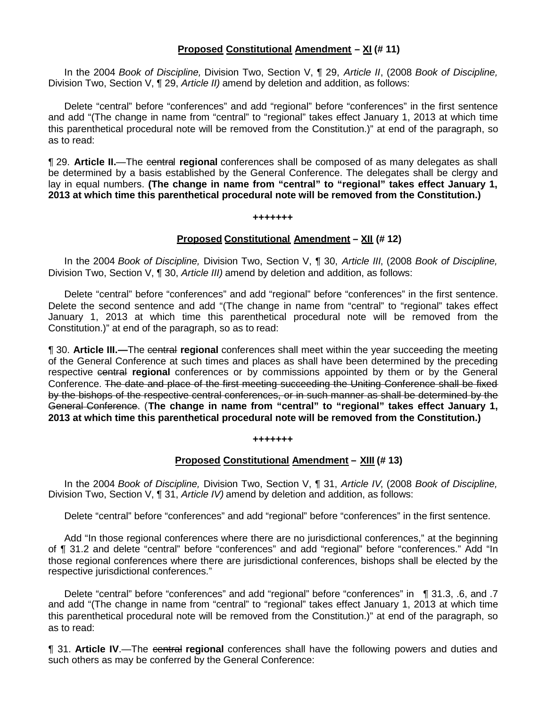### **Proposed Constitutional Amendment – XI (# 11)**

In the 2004 *Book of Discipline,* Division Two, Section V, ¶ 29, *Article II*, (2008 *Book of Discipline,* Division Two, Section V, ¶ 29, *Article II)* amend by deletion and addition, as follows:

Delete "central" before "conferences" and add "regional" before "conferences" in the first sentence and add "(The change in name from "central" to "regional" takes effect January 1, 2013 at which time this parenthetical procedural note will be removed from the Constitution.)" at end of the paragraph, so as to read:

¶ 29. **Article II.**—The central **regional** conferences shall be composed of as many delegates as shall be determined by a basis established by the General Conference. The delegates shall be clergy and lay in equal numbers. **(The change in name from "central" to "regional" takes effect January 1, 2013 at which time this parenthetical procedural note will be removed from the Constitution.)**

#### **+++++++**

### **Proposed Constitutional Amendment – XII (# 12)**

In the 2004 *Book of Discipline,* Division Two, Section V, ¶ 30, *Article III*, (2008 *Book of Discipline,* Division Two, Section V, ¶ 30, *Article III)* amend by deletion and addition, as follows:

Delete "central" before "conferences" and add "regional" before "conferences" in the first sentence. Delete the second sentence and add "(The change in name from "central" to "regional" takes effect January 1, 2013 at which time this parenthetical procedural note will be removed from the Constitution.)" at end of the paragraph, so as to read:

¶ 30. **Article III.—**The central **regional** conferences shall meet within the year succeeding the meeting of the General Conference at such times and places as shall have been determined by the preceding respective central **regional** conferences or by commissions appointed by them or by the General Conference. The date and place of the first meeting succeeding the Uniting Conference shall be fixed by the bishops of the respective central conferences, or in such manner as shall be determined by the General Conference. (**The change in name from "central" to "regional" takes effect January 1, 2013 at which time this parenthetical procedural note will be removed from the Constitution.)**

#### **+++++++**

#### **Proposed Constitutional Amendment – XIII (# 13)**

In the 2004 *Book of Discipline,* Division Two, Section V, ¶ 31, *Article IV*, (2008 *Book of Discipline,* Division Two, Section V, ¶ 31, *Article IV)* amend by deletion and addition, as follows:

Delete "central" before "conferences" and add "regional" before "conferences" in the first sentence.

Add "In those regional conferences where there are no jurisdictional conferences," at the beginning of ¶ 31.2 and delete "central" before "conferences" and add "regional" before "conferences." Add "In those regional conferences where there are jurisdictional conferences, bishops shall be elected by the respective jurisdictional conferences."

Delete "central" before "conferences" and add "regional" before "conferences" in ¶ 31.3, .6, and .7 and add "(The change in name from "central" to "regional" takes effect January 1, 2013 at which time this parenthetical procedural note will be removed from the Constitution.)" at end of the paragraph, so as to read:

¶ 31. **Article IV**.—The central **regional** conferences shall have the following powers and duties and such others as may be conferred by the General Conference: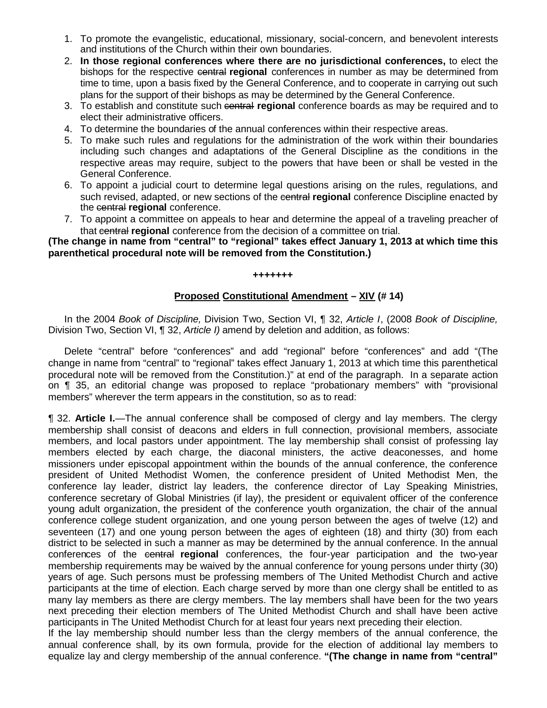- 1. To promote the evangelistic, educational, missionary, social-concern, and benevolent interests and institutions of the Church within their own boundaries.
- 2. **In those regional conferences where there are no jurisdictional conferences,** to elect the bishops for the respective central **regional** conferences in number as may be determined from time to time, upon a basis fixed by the General Conference, and to cooperate in carrying out such plans for the support of their bishops as may be determined by the General Conference.
- 3. To establish and constitute such central **regional** conference boards as may be required and to elect their administrative officers.
- 4. To determine the boundaries of the annual conferences within their respective areas.
- 5. To make such rules and regulations for the administration of the work within their boundaries including such changes and adaptations of the General Discipline as the conditions in the respective areas may require, subject to the powers that have been or shall be vested in the General Conference.
- 6. To appoint a judicial court to determine legal questions arising on the rules, regulations, and such revised, adapted, or new sections of the central **regional** conference Discipline enacted by the central **regional** conference.
- 7. To appoint a committee on appeals to hear and determine the appeal of a traveling preacher of that central **regional** conference from the decision of a committee on trial.

**(The change in name from "central" to "regional" takes effect January 1, 2013 at which time this parenthetical procedural note will be removed from the Constitution.)**

#### **+++++++**

### **Proposed Constitutional Amendment – XIV (# 14)**

In the 2004 *Book of Discipline,* Division Two, Section VI, ¶ 32, *Article I*, (2008 *Book of Discipline,* Division Two, Section VI, ¶ 32, *Article I)* amend by deletion and addition, as follows:

Delete "central" before "conferences" and add "regional" before "conferences" and add "(The change in name from "central" to "regional" takes effect January 1, 2013 at which time this parenthetical procedural note will be removed from the Constitution.)" at end of the paragraph. In a separate action on ¶ 35, an editorial change was proposed to replace "probationary members" with "provisional members" wherever the term appears in the constitution, so as to read:

¶ 32. **Article I.**—The annual conference shall be composed of clergy and lay members. The clergy membership shall consist of deacons and elders in full connection, provisional members, associate members, and local pastors under appointment. The lay membership shall consist of professing lay members elected by each charge, the diaconal ministers, the active deaconesses, and home missioners under episcopal appointment within the bounds of the annual conference, the conference president of United Methodist Women, the conference president of United Methodist Men, the conference lay leader, district lay leaders, the conference director of Lay Speaking Ministries, conference secretary of Global Ministries (if lay), the president or equivalent officer of the conference young adult organization, the president of the conference youth organization, the chair of the annual conference college student organization, and one young person between the ages of twelve (12) and seventeen (17) and one young person between the ages of eighteen (18) and thirty (30) from each district to be selected in such a manner as may be determined by the annual conference. In the annual conferences of the central **regional** conferences, the four-year participation and the two-year membership requirements may be waived by the annual conference for young persons under thirty (30) years of age. Such persons must be professing members of The United Methodist Church and active participants at the time of election. Each charge served by more than one clergy shall be entitled to as many lay members as there are clergy members. The lay members shall have been for the two years next preceding their election members of The United Methodist Church and shall have been active participants in The United Methodist Church for at least four years next preceding their election.

If the lay membership should number less than the clergy members of the annual conference, the annual conference shall, by its own formula, provide for the election of additional lay members to equalize lay and clergy membership of the annual conference. **"(The change in name from "central"**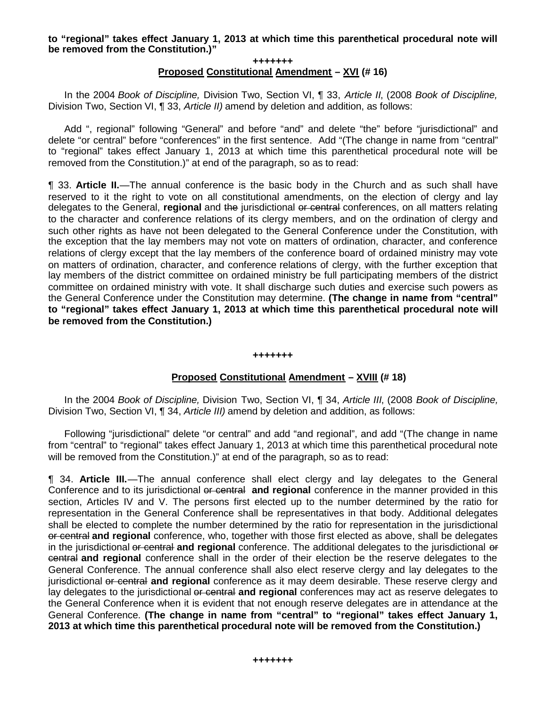### **to "regional" takes effect January 1, 2013 at which time this parenthetical procedural note will be removed from the Constitution.)"**

#### **+++++++ Proposed Constitutional Amendment – XVI (# 16)**

In the 2004 *Book of Discipline,* Division Two, Section VI, ¶ 33, *Article II*, (2008 *Book of Discipline,* Division Two, Section VI, ¶ 33, *Article II)* amend by deletion and addition, as follows:

Add ", regional" following "General" and before "and" and delete "the" before "jurisdictional" and delete "or central" before "conferences" in the first sentence. Add "(The change in name from "central" to "regional" takes effect January 1, 2013 at which time this parenthetical procedural note will be removed from the Constitution.)" at end of the paragraph, so as to read:

¶ 33. **Article II.**—The annual conference is the basic body in the Church and as such shall have reserved to it the right to vote on all constitutional amendments, on the election of clergy and lay delegates to the General, **regional** and the jurisdictional or central conferences, on all matters relating to the character and conference relations of its clergy members, and on the ordination of clergy and such other rights as have not been delegated to the General Conference under the Constitution, with the exception that the lay members may not vote on matters of ordination, character, and conference relations of clergy except that the lay members of the conference board of ordained ministry may vote on matters of ordination, character, and conference relations of clergy, with the further exception that lay members of the district committee on ordained ministry be full participating members of the district committee on ordained ministry with vote. It shall discharge such duties and exercise such powers as the General Conference under the Constitution may determine. **(The change in name from "central" to "regional" takes effect January 1, 2013 at which time this parenthetical procedural note will be removed from the Constitution.)**

#### **+++++++**

### **Proposed Constitutional Amendment – XVIII (# 18)**

In the 2004 *Book of Discipline,* Division Two, Section VI, ¶ 34, *Article III*, (2008 *Book of Discipline,* Division Two, Section VI, ¶ 34, *Article III)* amend by deletion and addition, as follows:

Following "jurisdictional" delete "or central" and add "and regional", and add "(The change in name from "central" to "regional" takes effect January 1, 2013 at which time this parenthetical procedural note will be removed from the Constitution.)" at end of the paragraph, so as to read:

¶ 34. **Article III.**—The annual conference shall elect clergy and lay delegates to the General Conference and to its jurisdictional or central **and regional** conference in the manner provided in this section, Articles IV and V. The persons first elected up to the number determined by the ratio for representation in the General Conference shall be representatives in that body. Additional delegates shall be elected to complete the number determined by the ratio for representation in the jurisdictional or central **and regional** conference, who, together with those first elected as above, shall be delegates in the jurisdictional or central **and regional** conference. The additional delegates to the jurisdictional or central **and regional** conference shall in the order of their election be the reserve delegates to the General Conference. The annual conference shall also elect reserve clergy and lay delegates to the jurisdictional or central **and regional** conference as it may deem desirable. These reserve clergy and lay delegates to the jurisdictional or central **and regional** conferences may act as reserve delegates to the General Conference when it is evident that not enough reserve delegates are in attendance at the General Conference. **(The change in name from "central" to "regional" takes effect January 1, 2013 at which time this parenthetical procedural note will be removed from the Constitution.)**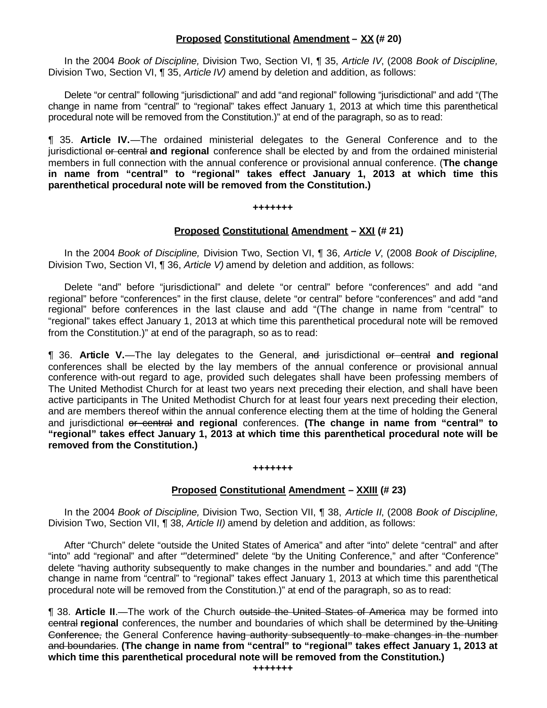# **Proposed Constitutional Amendment – XX (# 20)**

In the 2004 *Book of Discipline,* Division Two, Section VI, ¶ 35, *Article IV*, (2008 *Book of Discipline,* Division Two, Section VI, ¶ 35, *Article IV)* amend by deletion and addition, as follows:

Delete "or central" following "jurisdictional" and add "and regional" following "jurisdictional" and add "(The change in name from "central" to "regional" takes effect January 1, 2013 at which time this parenthetical procedural note will be removed from the Constitution.)" at end of the paragraph, so as to read:

¶ 35. **Article IV.**—The ordained ministerial delegates to the General Conference and to the jurisdictional or central **and regional** conference shall be elected by and from the ordained ministerial members in full connection with the annual conference or provisional annual conference. (**The change in name from "central" to "regional" takes effect January 1, 2013 at which time this parenthetical procedural note will be removed from the Constitution.)**

#### **+++++++**

### **Proposed Constitutional Amendment – XXI (# 21)**

In the 2004 *Book of Discipline,* Division Two, Section VI, ¶ 36, *Article V*, (2008 *Book of Discipline,* Division Two, Section VI, ¶ 36, *Article V)* amend by deletion and addition, as follows:

Delete "and" before "jurisdictional" and delete "or central" before "conferences" and add "and regional" before "conferences" in the first clause, delete "or central" before "conferences" and add "and regional" before conferences in the last clause and add "(The change in name from "central" to "regional" takes effect January 1, 2013 at which time this parenthetical procedural note will be removed from the Constitution.)" at end of the paragraph, so as to read:

¶ 36. **Article V.**—The lay delegates to the General, and jurisdictional or central **and regional** conferences shall be elected by the lay members of the annual conference or provisional annual conference with-out regard to age, provided such delegates shall have been professing members of The United Methodist Church for at least two years next preceding their election, and shall have been active participants in The United Methodist Church for at least four years next preceding their election, and are members thereof within the annual conference electing them at the time of holding the General and jurisdictional or central **and regional** conferences. **(The change in name from "central" to "regional" takes effect January 1, 2013 at which time this parenthetical procedural note will be removed from the Constitution.)**

#### **+++++++**

# **Proposed Constitutional Amendment – XXIII (# 23)**

In the 2004 *Book of Discipline,* Division Two, Section VII, ¶ 38, *Article II*, (2008 *Book of Discipline,* Division Two, Section VII, ¶ 38, *Article II)* amend by deletion and addition, as follows:

After "Church" delete "outside the United States of America" and after "into" delete "central" and after "into" add "regional" and after ""determined" delete "by the Uniting Conference," and after "Conference" delete "having authority subsequently to make changes in the number and boundaries." and add "(The change in name from "central" to "regional" takes effect January 1, 2013 at which time this parenthetical procedural note will be removed from the Constitution.)" at end of the paragraph, so as to read:

¶ 38. **Article II**.—The work of the Church outside the United States of America may be formed into central **regional** conferences, the number and boundaries of which shall be determined by the Uniting Conference, the General Conference having authority subsequently to make changes in the number and boundaries. **(The change in name from "central" to "regional" takes effect January 1, 2013 at which time this parenthetical procedural note will be removed from the Constitution.)**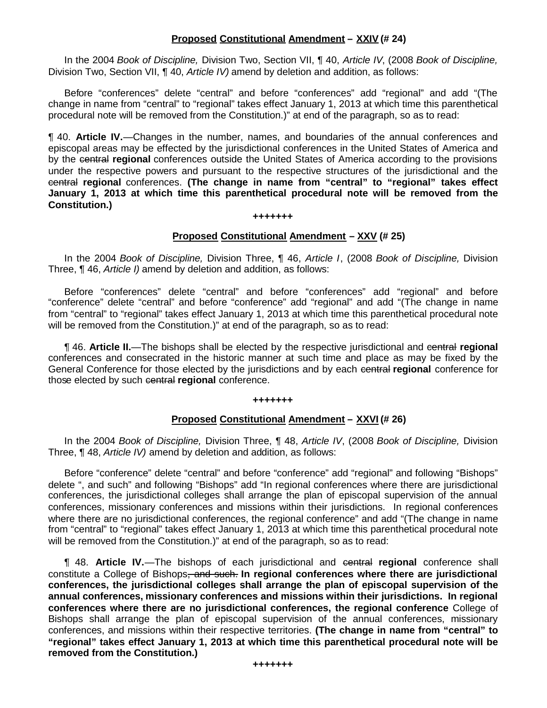# **Proposed Constitutional Amendment – XXIV (# 24)**

In the 2004 *Book of Discipline,* Division Two, Section VII, ¶ 40, *Article IV*, (2008 *Book of Discipline,* Division Two, Section VII, ¶ 40, *Article IV)* amend by deletion and addition, as follows:

Before "conferences" delete "central" and before "conferences" add "regional" and add "(The change in name from "central" to "regional" takes effect January 1, 2013 at which time this parenthetical procedural note will be removed from the Constitution.)" at end of the paragraph, so as to read:

¶ 40. **Article IV.**—Changes in the number, names, and boundaries of the annual conferences and episcopal areas may be effected by the jurisdictional conferences in the United States of America and by the central **regional** conferences outside the United States of America according to the provisions under the respective powers and pursuant to the respective structures of the jurisdictional and the central **regional** conferences. **(The change in name from "central" to "regional" takes effect January 1, 2013 at which time this parenthetical procedural note will be removed from the Constitution.)**

#### **+++++++**

### **Proposed Constitutional Amendment – XXV (# 25)**

In the 2004 *Book of Discipline,* Division Three, ¶ 46, *Article I*, (2008 *Book of Discipline,* Division Three, ¶ 46, *Article I)* amend by deletion and addition, as follows:

Before "conferences" delete "central" and before "conferences" add "regional" and before "conference" delete "central" and before "conference" add "regional" and add "(The change in name from "central" to "regional" takes effect January 1, 2013 at which time this parenthetical procedural note will be removed from the Constitution.)" at end of the paragraph, so as to read:

¶ 46. **Article II.**—The bishops shall be elected by the respective jurisdictional and central **regional** conferences and consecrated in the historic manner at such time and place as may be fixed by the General Conference for those elected by the jurisdictions and by each central **regional** conference for those elected by such central **regional** conference.

#### **+++++++**

### **Proposed Constitutional Amendment – XXVI (# 26)**

In the 2004 *Book of Discipline,* Division Three, ¶ 48, *Article IV*, (2008 *Book of Discipline,* Division Three, ¶ 48, *Article IV)* amend by deletion and addition, as follows:

Before "conference" delete "central" and before "conference" add "regional" and following "Bishops" delete ", and such" and following "Bishops" add "In regional conferences where there are jurisdictional conferences, the jurisdictional colleges shall arrange the plan of episcopal supervision of the annual conferences, missionary conferences and missions within their jurisdictions. In regional conferences where there are no jurisdictional conferences, the regional conference" and add "(The change in name from "central" to "regional" takes effect January 1, 2013 at which time this parenthetical procedural note will be removed from the Constitution.)" at end of the paragraph, so as to read:

¶ 48. **Article IV.**—The bishops of each jurisdictional and central **regional** conference shall constitute a College of Bishops, and such. **In regional conferences where there are jurisdictional conferences, the jurisdictional colleges shall arrange the plan of episcopal supervision of the annual conferences, missionary conferences and missions within their jurisdictions. In regional conferences where there are no jurisdictional conferences, the regional conference** College of Bishops shall arrange the plan of episcopal supervision of the annual conferences, missionary conferences, and missions within their respective territories. **(The change in name from "central" to "regional" takes effect January 1, 2013 at which time this parenthetical procedural note will be removed from the Constitution.)**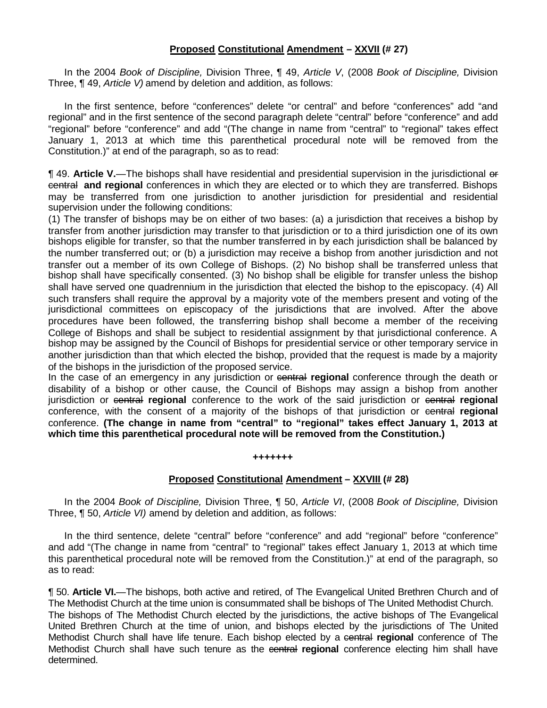# **Proposed Constitutional Amendment – XXVII (# 27)**

In the 2004 *Book of Discipline,* Division Three, ¶ 49, *Article V*, (2008 *Book of Discipline,* Division Three, ¶ 49, *Article V)* amend by deletion and addition, as follows:

In the first sentence, before "conferences" delete "or central" and before "conferences" add "and regional" and in the first sentence of the second paragraph delete "central" before "conference" and add "regional" before "conference" and add "(The change in name from "central" to "regional" takes effect January 1, 2013 at which time this parenthetical procedural note will be removed from the Constitution.)" at end of the paragraph, so as to read:

¶ 49. **Article V.**—The bishops shall have residential and presidential supervision in the jurisdictional or central **and regional** conferences in which they are elected or to which they are transferred. Bishops may be transferred from one jurisdiction to another jurisdiction for presidential and residential supervision under the following conditions:

(1) The transfer of bishops may be on either of two bases: (a) a jurisdiction that receives a bishop by transfer from another jurisdiction may transfer to that jurisdiction or to a third jurisdiction one of its own bishops eligible for transfer, so that the number transferred in by each jurisdiction shall be balanced by the number transferred out; or (b) a jurisdiction may receive a bishop from another jurisdiction and not transfer out a member of its own College of Bishops. (2) No bishop shall be transferred unless that bishop shall have specifically consented. (3) No bishop shall be eligible for transfer unless the bishop shall have served one quadrennium in the jurisdiction that elected the bishop to the episcopacy. (4) All such transfers shall require the approval by a majority vote of the members present and voting of the jurisdictional committees on episcopacy of the jurisdictions that are involved. After the above procedures have been followed, the transferring bishop shall become a member of the receiving College of Bishops and shall be subject to residential assignment by that jurisdictional conference. A bishop may be assigned by the Council of Bishops for presidential service or other temporary service in another jurisdiction than that which elected the bishop, provided that the request is made by a majority of the bishops in the jurisdiction of the proposed service.

In the case of an emergency in any jurisdiction or central **regional** conference through the death or disability of a bishop or other cause, the Council of Bishops may assign a bishop from another jurisdiction or central **regional** conference to the work of the said jurisdiction or central **regional** conference, with the consent of a majority of the bishops of that jurisdiction or central **regional** conference. **(The change in name from "central" to "regional" takes effect January 1, 2013 at which time this parenthetical procedural note will be removed from the Constitution.)**

#### **+++++++**

### **Proposed Constitutional Amendment – XXVIII (# 28)**

In the 2004 *Book of Discipline,* Division Three, ¶ 50, *Article VI*, (2008 *Book of Discipline,* Division Three, ¶ 50, *Article VI)* amend by deletion and addition, as follows:

In the third sentence, delete "central" before "conference" and add "regional" before "conference" and add "(The change in name from "central" to "regional" takes effect January 1, 2013 at which time this parenthetical procedural note will be removed from the Constitution.)" at end of the paragraph, so as to read:

¶ 50. **Article VI.**—The bishops, both active and retired, of The Evangelical United Brethren Church and of The Methodist Church at the time union is consummated shall be bishops of The United Methodist Church. The bishops of The Methodist Church elected by the jurisdictions, the active bishops of The Evangelical United Brethren Church at the time of union, and bishops elected by the jurisdictions of The United Methodist Church shall have life tenure. Each bishop elected by a central **regional** conference of The Methodist Church shall have such tenure as the central regional conference electing him shall have determined.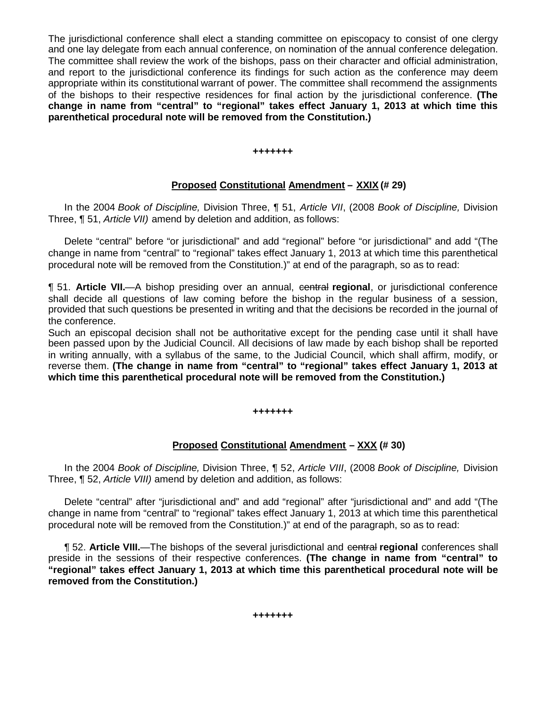The jurisdictional conference shall elect a standing committee on episcopacy to consist of one clergy and one lay delegate from each annual conference, on nomination of the annual conference delegation. The committee shall review the work of the bishops, pass on their character and official administration, and report to the jurisdictional conference its findings for such action as the conference may deem appropriate within its constitutional warrant of power. The committee shall recommend the assignments of the bishops to their respective residences for final action by the jurisdictional conference. **(The change in name from "central" to "regional" takes effect January 1, 2013 at which time this parenthetical procedural note will be removed from the Constitution.)**

**+++++++**

# **Proposed Constitutional Amendment – XXIX (# 29)**

In the 2004 *Book of Discipline,* Division Three, ¶ 51, *Article VII*, (2008 *Book of Discipline,* Division Three, ¶ 51, *Article VII)* amend by deletion and addition, as follows:

Delete "central" before "or jurisdictional" and add "regional" before "or jurisdictional" and add "(The change in name from "central" to "regional" takes effect January 1, 2013 at which time this parenthetical procedural note will be removed from the Constitution.)" at end of the paragraph, so as to read:

**¶ 51. Article VII.—A** bishop presiding over an annual, eentral **regional**, or jurisdictional conference shall decide all questions of law coming before the bishop in the regular business of a session, provided that such questions be presented in writing and that the decisions be recorded in the journal of the conference.

Such an episcopal decision shall not be authoritative except for the pending case until it shall have been passed upon by the Judicial Council. All decisions of law made by each bishop shall be reported in writing annually, with a syllabus of the same, to the Judicial Council, which shall affirm, modify, or reverse them. **(The change in name from "central" to "regional" takes effect January 1, 2013 at which time this parenthetical procedural note will be removed from the Constitution.)**

#### **+++++++**

# **Proposed Constitutional Amendment – XXX (# 30)**

In the 2004 *Book of Discipline,* Division Three, ¶ 52, *Article VIII*, (2008 *Book of Discipline,* Division Three, ¶ 52, *Article VIII)* amend by deletion and addition, as follows:

Delete "central" after "jurisdictional and" and add "regional" after "jurisdictional and" and add "(The change in name from "central" to "regional" takes effect January 1, 2013 at which time this parenthetical procedural note will be removed from the Constitution.)" at end of the paragraph, so as to read:

¶ 52. **Article VIII.**—The bishops of the several jurisdictional and central **regional** conferences shall preside in the sessions of their respective conferences. **(The change in name from "central" to "regional" takes effect January 1, 2013 at which time this parenthetical procedural note will be removed from the Constitution.)**

**+++++++**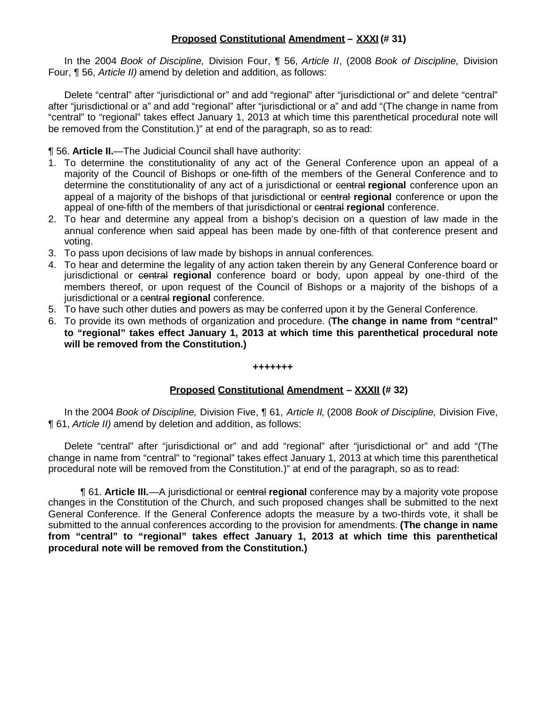# **Proposed Constitutional Amendment – XXXI (# 31)**

In the 2004 *Book of Discipline,* Division Four, ¶ 56, *Article II*, (2008 *Book of Discipline,* Division Four, ¶ 56, *Article II)* amend by deletion and addition, as follows:

Delete "central" after "jurisdictional or" and add "regional" after "jurisdictional or" and delete "central" after "jurisdictional or a" and add "regional" after "jurisdictional or a" and add "(The change in name from "central" to "regional" takes effect January 1, 2013 at which time this parenthetical procedural note will be removed from the Constitution.)" at end of the paragraph, so as to read:

¶ 56. **Article II.**—The Judicial Council shall have authority:

- 1. To determine the constitutionality of any act of the General Conference upon an appeal of a majority of the Council of Bishops or one-fifth of the members of the General Conference and to determine the constitutionality of any act of a jurisdictional or central **regional** conference upon an appeal of a majority of the bishops of that jurisdictional or central **regional** conference or upon the appeal of one-fifth of the members of that jurisdictional or central **regional** conference.
- 2. To hear and determine any appeal from a bishop's decision on a question of law made in the annual conference when said appeal has been made by one-fifth of that conference present and voting.
- 3. To pass upon decisions of law made by bishops in annual conferences.
- 4. To hear and determine the legality of any action taken therein by any General Conference board or jurisdictional or central **regional** conference board or body, upon appeal by one-third of the members thereof, or upon request of the Council of Bishops or a majority of the bishops of a jurisdictional or a central **regional** conference.
- 5. To have such other duties and powers as may be conferred upon it by the General Conference.
- 6. To provide its own methods of organization and procedure. (**The change in name from "central" to "regional" takes effect January 1, 2013 at which time this parenthetical procedural note will be removed from the Constitution.)**

#### **+++++++**

# **Proposed Constitutional Amendment – XXXII (# 32)**

In the 2004 *Book of Discipline,* Division Five, ¶ 61, *Article II*, (2008 *Book of Discipline,* Division Five, ¶ 61, *Article II)* amend by deletion and addition, as follows:

Delete "central" after "jurisdictional or" and add "regional" after "jurisdictional or" and add "(The change in name from "central" to "regional" takes effect January 1, 2013 at which time this parenthetical procedural note will be removed from the Constitution.)" at end of the paragraph, so as to read:

¶ 61. **Article III.**—A jurisdictional or central **regional** conference may by a majority vote propose changes in the Constitution of the Church, and such proposed changes shall be submitted to the next General Conference. If the General Conference adopts the measure by a two-thirds vote, it shall be submitted to the annual conferences according to the provision for amendments. **(The change in name from "central" to "regional" takes effect January 1, 2013 at which time this parenthetical procedural note will be removed from the Constitution.)**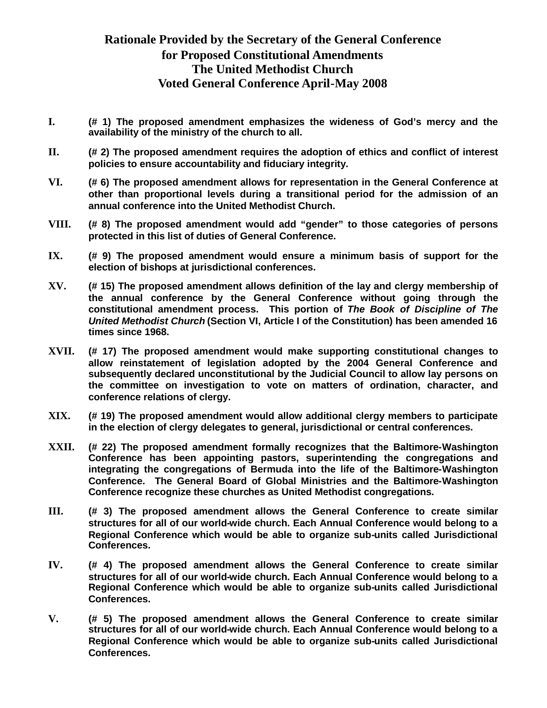# **Rationale Provided by the Secretary of the General Conference for Proposed Constitutional Amendments The United Methodist Church Voted General Conference April-May 2008**

- **I. (# 1) The proposed amendment emphasizes the wideness of God's mercy and the availability of the ministry of the church to all.**
- **II. (# 2) The proposed amendment requires the adoption of ethics and conflict of interest policies to ensure accountability and fiduciary integrity.**
- **VI. (# 6) The proposed amendment allows for representation in the General Conference at other than proportional levels during a transitional period for the admission of an annual conference into the United Methodist Church.**
- **VIII. (# 8) The proposed amendment would add "gender" to those categories of persons protected in this list of duties of General Conference.**
- **IX. (# 9) The proposed amendment would ensure a minimum basis of support for the election of bishops at jurisdictional conferences.**
- **XV. (# 15) The proposed amendment allows definition of the lay and clergy membership of the annual conference by the General Conference without going through the constitutional amendment process. This portion of** *The Book of Discipline of The United Methodist Church* **(Section VI, Article I of the Constitution) has been amended 16 times since 1968.**
- **XVII. (# 17) The proposed amendment would make supporting constitutional changes to allow reinstatement of legislation adopted by the 2004 General Conference and subsequently declared unconstitutional by the Judicial Council to allow lay persons on the committee on investigation to vote on matters of ordination, character, and conference relations of clergy.**
- **XIX. (# 19) The proposed amendment would allow additional clergy members to participate in the election of clergy delegates to general, jurisdictional or central conferences.**
- **XXII. (# 22) The proposed amendment formally recognizes that the Baltimore-Washington Conference has been appointing pastors, superintending the congregations and integrating the congregations of Bermuda into the life of the Baltimore-Washington Conference. The General Board of Global Ministries and the Baltimore-Washington Conference recognize these churches as United Methodist congregations.**
- **III. (# 3) The proposed amendment allows the General Conference to create similar structures for all of our world-wide church. Each Annual Conference would belong to a Regional Conference which would be able to organize sub-units called Jurisdictional Conferences.**
- **IV. (# 4) The proposed amendment allows the General Conference to create similar structures for all of our world-wide church. Each Annual Conference would belong to a Regional Conference which would be able to organize sub-units called Jurisdictional Conferences.**
- **V. (# 5) The proposed amendment allows the General Conference to create similar structures for all of our world-wide church. Each Annual Conference would belong to a Regional Conference which would be able to organize sub-units called Jurisdictional Conferences.**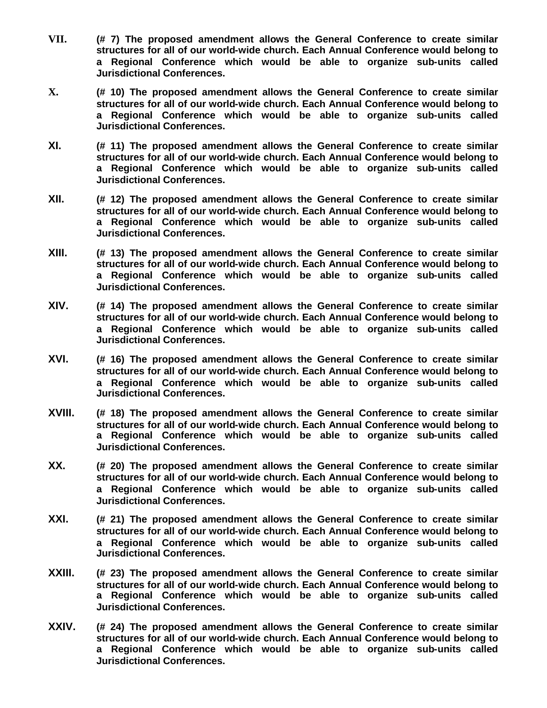- **VII. (# 7) The proposed amendment allows the General Conference to create similar structures for all of our world-wide church. Each Annual Conference would belong to a Regional Conference which would be able to organize sub-units called Jurisdictional Conferences.**
- **X. (# 10) The proposed amendment allows the General Conference to create similar structures for all of our world-wide church. Each Annual Conference would belong to a Regional Conference which would be able to organize sub-units called Jurisdictional Conferences.**
- **XI. (# 11) The proposed amendment allows the General Conference to create similar structures for all of our world-wide church. Each Annual Conference would belong to a Regional Conference which would be able to organize sub-units called Jurisdictional Conferences.**
- **XII. (# 12) The proposed amendment allows the General Conference to create similar structures for all of our world-wide church. Each Annual Conference would belong to a Regional Conference which would be able to organize sub-units called Jurisdictional Conferences.**
- **XIII. (# 13) The proposed amendment allows the General Conference to create similar structures for all of our world-wide church. Each Annual Conference would belong to a Regional Conference which would be able to organize sub-units called Jurisdictional Conferences.**
- **XIV. (# 14) The proposed amendment allows the General Conference to create similar structures for all of our world-wide church. Each Annual Conference would belong to a Regional Conference which would be able to organize sub-units called Jurisdictional Conferences.**
- **XVI. (# 16) The proposed amendment allows the General Conference to create similar structures for all of our world-wide church. Each Annual Conference would belong to a Regional Conference which would be able to organize sub-units called Jurisdictional Conferences.**
- **XVIII. (# 18) The proposed amendment allows the General Conference to create similar structures for all of our world-wide church. Each Annual Conference would belong to a Regional Conference which would be able to organize sub-units called Jurisdictional Conferences.**
- **XX. (# 20) The proposed amendment allows the General Conference to create similar structures for all of our world-wide church. Each Annual Conference would belong to a Regional Conference which would be able to organize sub-units called Jurisdictional Conferences.**
- **XXI. (# 21) The proposed amendment allows the General Conference to create similar structures for all of our world-wide church. Each Annual Conference would belong to a Regional Conference which would be able to organize sub-units called Jurisdictional Conferences.**
- **XXIII. (# 23) The proposed amendment allows the General Conference to create similar structures for all of our world-wide church. Each Annual Conference would belong to a Regional Conference which would be able to organize sub-units called Jurisdictional Conferences.**
- **XXIV. (# 24) The proposed amendment allows the General Conference to create similar structures for all of our world-wide church. Each Annual Conference would belong to a Regional Conference which would be able to organize sub-units called Jurisdictional Conferences.**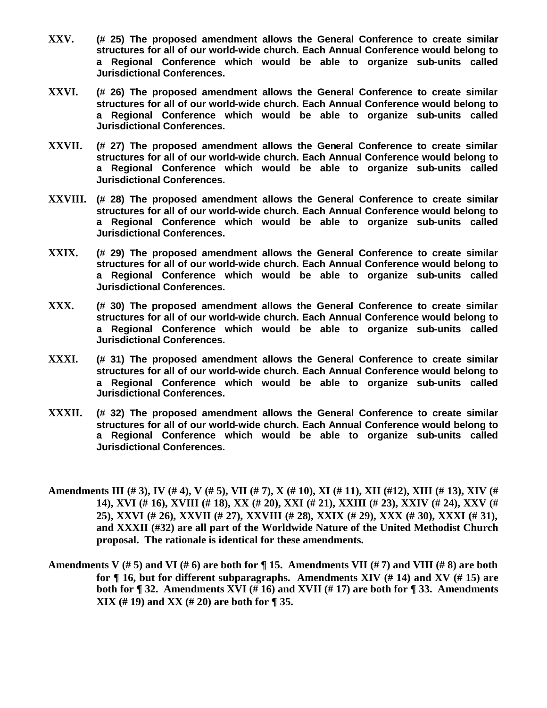- **XXV. (# 25) The proposed amendment allows the General Conference to create similar structures for all of our world-wide church. Each Annual Conference would belong to a Regional Conference which would be able to organize sub-units called Jurisdictional Conferences.**
- **XXVI. (# 26) The proposed amendment allows the General Conference to create similar structures for all of our world-wide church. Each Annual Conference would belong to a Regional Conference which would be able to organize sub-units called Jurisdictional Conferences.**
- **XXVII. (# 27) The proposed amendment allows the General Conference to create similar structures for all of our world-wide church. Each Annual Conference would belong to a Regional Conference which would be able to organize sub-units called Jurisdictional Conferences.**
- **XXVIII. (# 28) The proposed amendment allows the General Conference to create similar structures for all of our world-wide church. Each Annual Conference would belong to a Regional Conference which would be able to organize sub-units called Jurisdictional Conferences.**
- **XXIX. (# 29) The proposed amendment allows the General Conference to create similar structures for all of our world-wide church. Each Annual Conference would belong to a Regional Conference which would be able to organize sub-units called Jurisdictional Conferences.**
- **XXX. (# 30) The proposed amendment allows the General Conference to create similar structures for all of our world-wide church. Each Annual Conference would belong to a Regional Conference which would be able to organize sub-units called Jurisdictional Conferences.**
- **XXXI. (# 31) The proposed amendment allows the General Conference to create similar structures for all of our world-wide church. Each Annual Conference would belong to a Regional Conference which would be able to organize sub-units called Jurisdictional Conferences.**
- **XXXII. (# 32) The proposed amendment allows the General Conference to create similar structures for all of our world-wide church. Each Annual Conference would belong to a Regional Conference which would be able to organize sub-units called Jurisdictional Conferences.**
- **Amendments III (# 3), IV (# 4), V (# 5), VII (# 7), X (# 10), XI (# 11), XII (#12), XIII (# 13), XIV (# 14), XVI (# 16), XVIII (# 18), XX (# 20), XXI (# 21), XXIII (# 23), XXIV (# 24), XXV (# 25), XXVI (# 26), XXVII (# 27), XXVIII (# 28), XXIX (# 29), XXX (# 30), XXXI (# 31), and XXXII (#32) are all part of the Worldwide Nature of the United Methodist Church proposal. The rationale is identical for these amendments.**
- **Amendments V (# 5) and VI (# 6) are both for ¶ 15. Amendments VII (# 7) and VIII (# 8) are both for ¶ 16, but for different subparagraphs. Amendments XIV (# 14) and XV (# 15) are both for ¶ 32. Amendments XVI (# 16) and XVII (# 17) are both for ¶ 33. Amendments XIX (# 19) and XX (# 20) are both for ¶ 35.**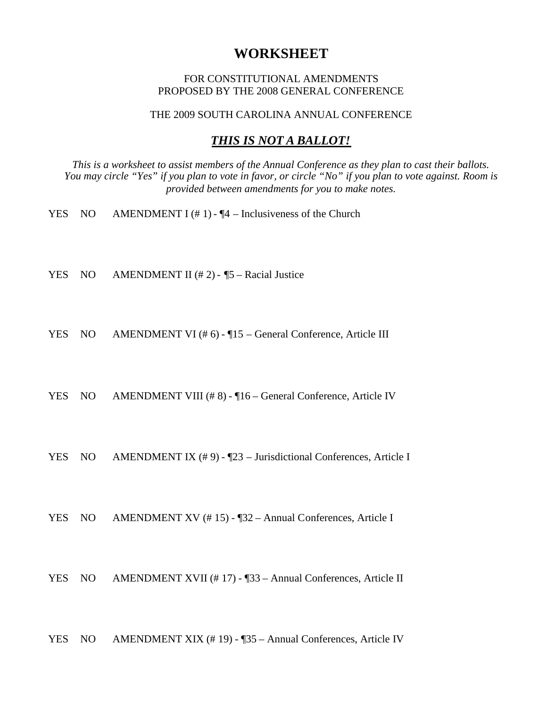# **WORKSHEET**

### FOR CONSTITUTIONAL AMENDMENTS PROPOSED BY THE 2008 GENERAL CONFERENCE

THE 2009 SOUTH CAROLINA ANNUAL CONFERENCE

# *THIS IS NOT A BALLOT!*

*This is a worksheet to assist members of the Annual Conference as they plan to cast their ballots. You may circle "Yes" if you plan to vote in favor, or circle "No" if you plan to vote against. Room is provided between amendments for you to make notes.*

- YES NO AMENDMENT I  $(\# 1)$   $\P 4$  Inclusiveness of the Church
- YES NO AMENDMENT II  $(\# 2)$  ¶5 Racial Justice
- YES NO AMENDMENT VI (# 6) ¶15 General Conference, Article III
- YES NO AMENDMENT VIII (#8) ¶16 General Conference, Article IV
- YES NO AMENDMENT IX (#9) ¶23 Jurisdictional Conferences, Article I
- YES NO AMENDMENT XV (#15) ¶32 Annual Conferences, Article I
- YES NO AMENDMENT XVII (#17) [33 Annual Conferences, Article II
- YES NO AMENDMENT XIX (# 19) ¶35 Annual Conferences, Article IV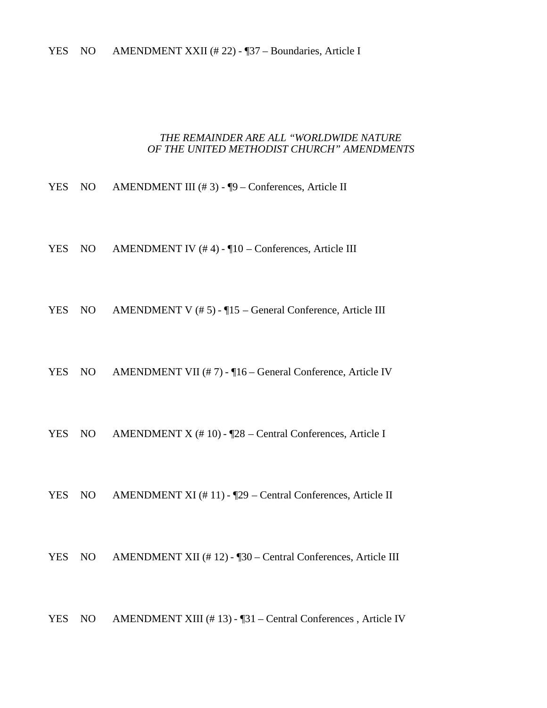### *THE REMAINDER ARE ALL "WORLDWIDE NATURE OF THE UNITED METHODIST CHURCH" AMENDMENTS*

- YES NO AMENDMENT III (#3) ¶9 Conferences, Article II
- YES NO AMENDMENT IV (#4) ¶10 Conferences, Article III
- YES NO AMENDMENT V (#5) ¶15 General Conference, Article III
- YES NO AMENDMENT VII (# 7) ¶16 General Conference, Article IV
- YES NO AMENDMENT X (#10) ¶28 Central Conferences, Article I
- YES NO AMENDMENT XI (#11) [29 Central Conferences, Article II
- YES NO AMENDMENT XII (#12) ¶30 Central Conferences, Article III
- YES NO AMENDMENT XIII (#13) ¶31 Central Conferences, Article IV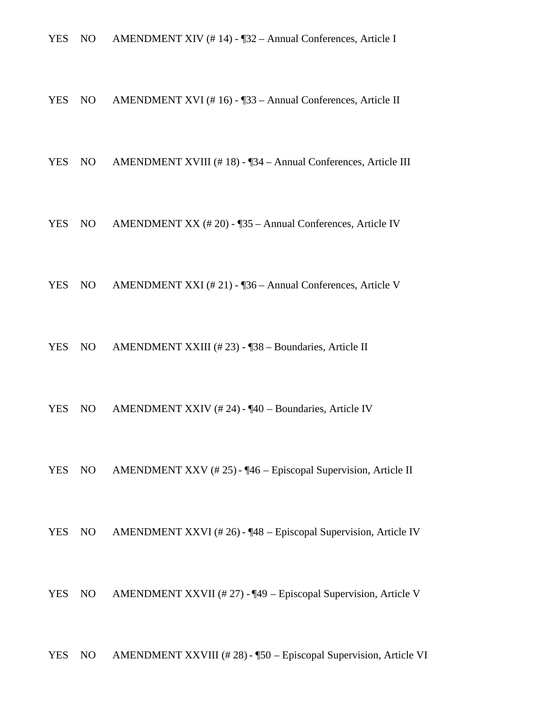YES NO AMENDMENT XIV (#14) - ¶32 – Annual Conferences, Article I

YES NO AMENDMENT XVI (# 16) - ¶33 – Annual Conferences, Article II

YES NO AMENDMENT XVIII (#18) - ¶34 – Annual Conferences, Article III

YES NO AMENDMENT XX (# 20) - ¶35 – Annual Conferences, Article IV

YES NO AMENDMENT XXI (# 21) - ¶36 – Annual Conferences, Article V

YES NO AMENDMENT XXIII (#23) - ¶38 – Boundaries, Article II

YES NO AMENDMENT XXIV (# 24) - ¶40 – Boundaries, Article IV

YES NO AMENDMENT XXV (# 25) - ¶46 – Episcopal Supervision, Article II

YES NO AMENDMENT XXVI (# 26) - ¶48 – Episcopal Supervision, Article IV

YES NO AMENDMENT XXVII (# 27) - ¶49 – Episcopal Supervision, Article V

YES NO AMENDMENT XXVIII (#28) - ¶50 – Episcopal Supervision, Article VI